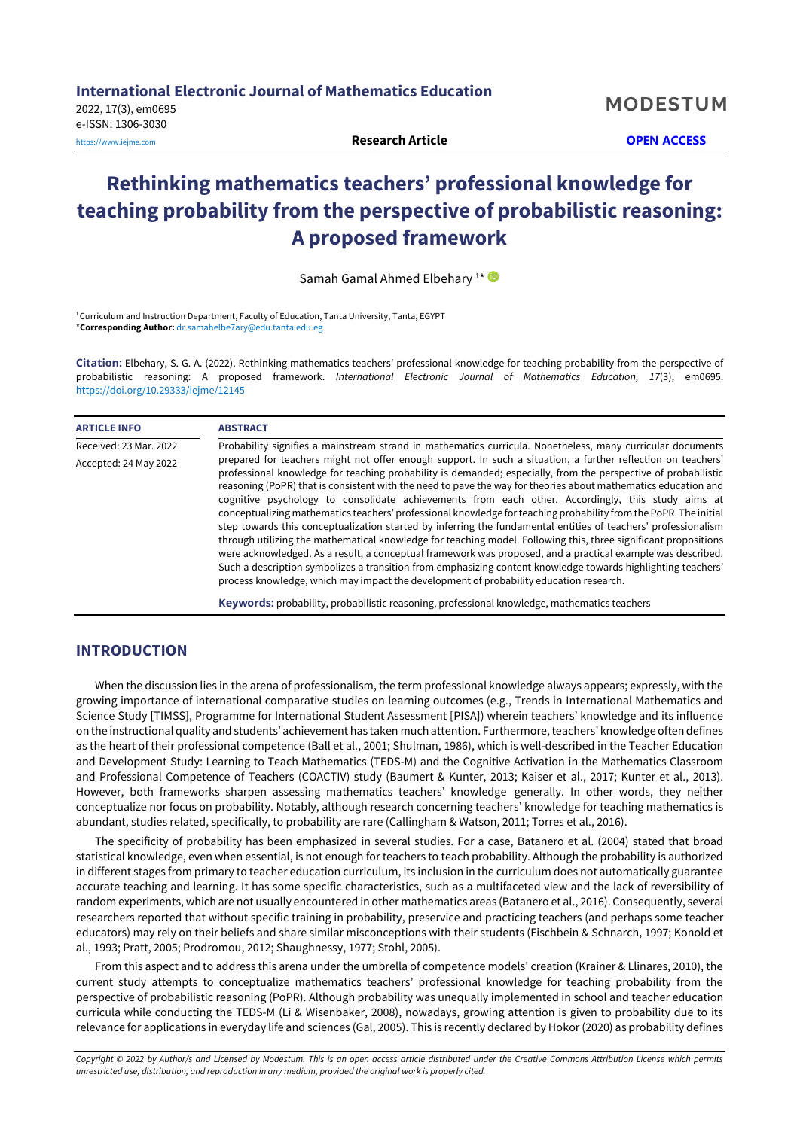# **Rethinking mathematics teachers' professional knowledge for teaching probability from the perspective of probabilistic reasoning: A proposed framework**

Samah Gamal Ahmed Elbehary<sup>1\*</sup>

<sup>1</sup> Curriculum and Instruction Department, Faculty of Education, Tanta University, Tanta, EGYPT \***Corresponding Author:** [dr.samahelbe7ary@edu.tanta.edu.eg](mailto:dr.samahelbe7ary@edu.tanta.edu.eg)

**Citation:** Elbehary, S. G. A. (2022). Rethinking mathematics teachers' professional knowledge for teaching probability from the perspective of probabilistic reasoning: A proposed framework. *International Electronic Journal of Mathematics Education, 17*(3), em0695. <https://doi.org/10.29333/iejme/12145>

| <b>ARTICLE INFO</b>    | <b>ABSTRACT</b>                                                                                                                                                                                                                                                                                                                                                                                                                                                                                                                                                                                                                                                                                                                                                                                                                                                                                                                                                                                                                                                                                                                         |  |  |  |
|------------------------|-----------------------------------------------------------------------------------------------------------------------------------------------------------------------------------------------------------------------------------------------------------------------------------------------------------------------------------------------------------------------------------------------------------------------------------------------------------------------------------------------------------------------------------------------------------------------------------------------------------------------------------------------------------------------------------------------------------------------------------------------------------------------------------------------------------------------------------------------------------------------------------------------------------------------------------------------------------------------------------------------------------------------------------------------------------------------------------------------------------------------------------------|--|--|--|
| Received: 23 Mar. 2022 | Probability signifies a mainstream strand in mathematics curricula. Nonetheless, many curricular documents                                                                                                                                                                                                                                                                                                                                                                                                                                                                                                                                                                                                                                                                                                                                                                                                                                                                                                                                                                                                                              |  |  |  |
| Accepted: 24 May 2022  | prepared for teachers might not offer enough support. In such a situation, a further reflection on teachers'<br>professional knowledge for teaching probability is demanded; especially, from the perspective of probabilistic<br>reasoning (PoPR) that is consistent with the need to pave the way for theories about mathematics education and<br>cognitive psychology to consolidate achievements from each other. Accordingly, this study aims at<br>conceptualizing mathematics teachers' professional knowledge for teaching probability from the PoPR. The initial<br>step towards this conceptualization started by inferring the fundamental entities of teachers' professionalism<br>through utilizing the mathematical knowledge for teaching model. Following this, three significant propositions<br>were acknowledged. As a result, a conceptual framework was proposed, and a practical example was described.<br>Such a description symbolizes a transition from emphasizing content knowledge towards highlighting teachers'<br>process knowledge, which may impact the development of probability education research. |  |  |  |
|                        | <b>Keywords:</b> probability, probabilistic reasoning, professional knowledge, mathematics teachers                                                                                                                                                                                                                                                                                                                                                                                                                                                                                                                                                                                                                                                                                                                                                                                                                                                                                                                                                                                                                                     |  |  |  |

# **INTRODUCTION**

When the discussion lies in the arena of professionalism, the term professional knowledge always appears; expressly, with the growing importance of international comparative studies on learning outcomes (e.g., Trends in International Mathematics and Science Study [TIMSS], Programme for International Student Assessment [PISA]) wherein teachers' knowledge and its influence on the instructional quality and students' achievement has taken much attention. Furthermore,teachers' knowledge often defines as the heart of their professional competence (Ball et al., 2001; Shulman, 1986), which is well-described in the Teacher Education and Development Study: Learning to Teach Mathematics (TEDS-M) and the Cognitive Activation in the Mathematics Classroom and Professional Competence of Teachers (COACTIV) study (Baumert & Kunter, 2013; Kaiser et al., 2017; Kunter et al., 2013). However, both frameworks sharpen assessing mathematics teachers' knowledge generally. In other words, they neither conceptualize nor focus on probability. Notably, although research concerning teachers' knowledge for teaching mathematics is abundant, studies related, specifically, to probability are rare (Callingham & Watson, 2011; Torres et al., 2016).

The specificity of probability has been emphasized in several studies. For a case, Batanero et al. (2004) stated that broad statistical knowledge, even when essential, is not enough for teachers to teach probability. Although the probability is authorized in different stages from primary to teacher education curriculum, its inclusion in the curriculum does not automatically guarantee accurate teaching and learning. It has some specific characteristics, such as a multifaceted view and the lack of reversibility of random experiments, which are not usually encountered in other mathematics areas (Batanero et al., 2016). Consequently, several researchers reported that without specific training in probability, preservice and practicing teachers (and perhaps some teacher educators) may rely on their beliefs and share similar misconceptions with their students (Fischbein & Schnarch, 1997; Konold et al., 1993; Pratt, 2005; Prodromou, 2012; Shaughnessy, 1977; Stohl, 2005).

From this aspect and to address this arena under the umbrella of competence models' creation (Krainer & Llinares, 2010), the current study attempts to conceptualize mathematics teachers' professional knowledge for teaching probability from the perspective of probabilistic reasoning (PoPR). Although probability was unequally implemented in school and teacher education curricula while conducting the TEDS-M (Li & Wisenbaker, 2008), nowadays, growing attention is given to probability due to its relevance for applications in everyday life and sciences (Gal, 2005). This is recently declared by Hokor (2020) as probability defines

Copyright © 2022 by Author/s and Licensed by Modestum. This is an open access article distributed under the Creative Commons Attribution License which permits *unrestricted use, distribution, and reproduction in any medium, provided the original work is properly cited.*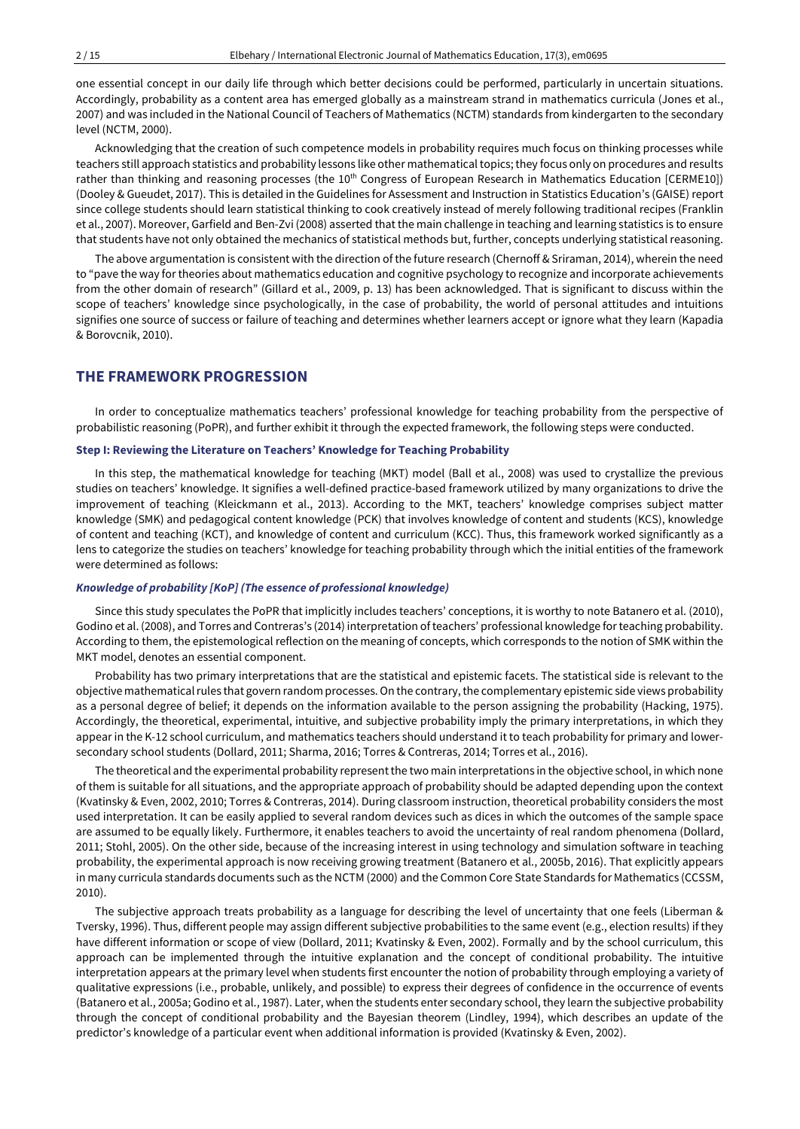one essential concept in our daily life through which better decisions could be performed, particularly in uncertain situations. Accordingly, probability as a content area has emerged globally as a mainstream strand in mathematics curricula (Jones et al., 2007) and was included in the National Council of Teachers of Mathematics (NCTM) standards from kindergarten to the secondary level (NCTM, 2000).

Acknowledging that the creation of such competence models in probability requires much focus on thinking processes while teachers still approach statistics and probability lessons like other mathematical topics;they focus only on procedures and results rather than thinking and reasoning processes (the 10<sup>th</sup> Congress of European Research in Mathematics Education [CERME10]) (Dooley & Gueudet, 2017). This is detailed in the Guidelines for Assessment and Instruction in Statistics Education's (GAISE) report since college students should learn statistical thinking to cook creatively instead of merely following traditional recipes (Franklin et al., 2007). Moreover, Garfield and Ben-Zvi (2008) asserted that the main challenge in teaching and learning statistics is to ensure that students have not only obtained the mechanics of statistical methods but, further, concepts underlying statistical reasoning.

The above argumentation is consistent with the direction of the future research (Chernoff & Sriraman, 2014), wherein the need to "pave the way for theories about mathematics education and cognitive psychology to recognize and incorporate achievements from the other domain of research" (Gillard et al., 2009, p. 13) has been acknowledged. That is significant to discuss within the scope of teachers' knowledge since psychologically, in the case of probability, the world of personal attitudes and intuitions signifies one source of success or failure of teaching and determines whether learners accept or ignore what they learn (Kapadia & Borovcnik, 2010).

# **THE FRAMEWORK PROGRESSION**

In order to conceptualize mathematics teachers' professional knowledge for teaching probability from the perspective of probabilistic reasoning (PoPR), and further exhibit it through the expected framework, the following steps were conducted.

#### **Step I: Reviewing the Literature on Teachers' Knowledge for Teaching Probability**

In this step, the mathematical knowledge for teaching (MKT) model (Ball et al., 2008) was used to crystallize the previous studies on teachers' knowledge. It signifies a well-defined practice-based framework utilized by many organizations to drive the improvement of teaching (Kleickmann et al., 2013). According to the MKT, teachers' knowledge comprises subject matter knowledge (SMK) and pedagogical content knowledge (PCK) that involves knowledge of content and students (KCS), knowledge of content and teaching (KCT), and knowledge of content and curriculum (KCC). Thus, this framework worked significantly as a lens to categorize the studies on teachers' knowledge for teaching probability through which the initial entities of the framework were determined as follows:

#### *Knowledge of probability [KoP] (The essence of professional knowledge)*

Since this study speculates the PoPR that implicitly includes teachers' conceptions, it is worthy to note Batanero et al. (2010), Godino et al. (2008), and Torres and Contreras's (2014) interpretation ofteachers' professional knowledge forteaching probability. According to them, the epistemological reflection on the meaning of concepts, which corresponds to the notion of SMK within the MKT model, denotes an essential component.

Probability has two primary interpretations that are the statistical and epistemic facets. The statistical side is relevant to the objective mathematical rules that govern random processes. On the contrary, the complementary epistemic side views probability as a personal degree of belief; it depends on the information available to the person assigning the probability (Hacking, 1975). Accordingly, the theoretical, experimental, intuitive, and subjective probability imply the primary interpretations, in which they appear in the K-12 school curriculum, and mathematics teachers should understand it to teach probability for primary and lowersecondary school students (Dollard, 2011; Sharma, 2016; Torres & Contreras, 2014; Torres et al., 2016).

The theoretical and the experimental probability represent the two main interpretations in the objective school, in which none of them is suitable for all situations, and the appropriate approach of probability should be adapted depending upon the context (Kvatinsky & Even, 2002, 2010; Torres & Contreras, 2014). During classroom instruction, theoretical probability considers the most used interpretation. It can be easily applied to several random devices such as dices in which the outcomes of the sample space are assumed to be equally likely. Furthermore, it enables teachers to avoid the uncertainty of real random phenomena (Dollard, 2011; Stohl, 2005). On the other side, because of the increasing interest in using technology and simulation software in teaching probability, the experimental approach is now receiving growing treatment (Batanero et al., 2005b, 2016). That explicitly appears in many curricula standards documents such as the NCTM (2000) and the Common Core State Standards for Mathematics (CCSSM, 2010).

The subjective approach treats probability as a language for describing the level of uncertainty that one feels (Liberman & Tversky, 1996). Thus, different people may assign different subjective probabilities to the same event (e.g., election results) if they have different information or scope of view (Dollard, 2011; Kvatinsky & Even, 2002). Formally and by the school curriculum, this approach can be implemented through the intuitive explanation and the concept of conditional probability. The intuitive interpretation appears at the primary level when students first encounter the notion of probability through employing a variety of qualitative expressions (i.e., probable, unlikely, and possible) to express their degrees of confidence in the occurrence of events (Batanero et al., 2005a; Godino et al., 1987). Later, when the students enter secondary school, they learn the subjective probability through the concept of conditional probability and the Bayesian theorem (Lindley, 1994), which describes an update of the predictor's knowledge of a particular event when additional information is provided (Kvatinsky & Even, 2002).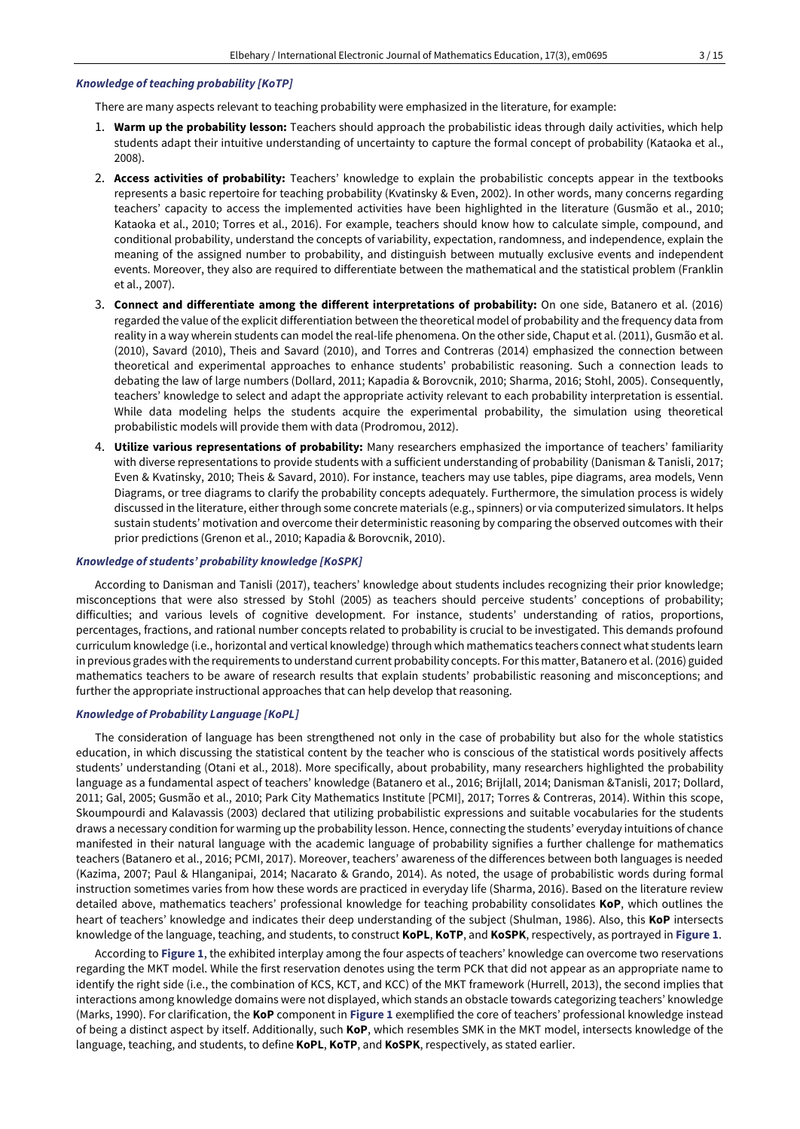#### *Knowledge of teaching probability [KoTP]*

There are many aspects relevant to teaching probability were emphasized in the literature, for example:

- 1. **Warm up the probability lesson:** Teachers should approach the probabilistic ideas through daily activities, which help students adapt their intuitive understanding of uncertainty to capture the formal concept of probability (Kataoka et al., 2008).
- 2. **Access activities of probability:** Teachers' knowledge to explain the probabilistic concepts appear in the textbooks represents a basic repertoire for teaching probability (Kvatinsky & Even, 2002). In other words, many concerns regarding teachers' capacity to access the implemented activities have been highlighted in the literature (Gusmão et al., 2010; Kataoka et al., 2010; Torres et al., 2016). For example, teachers should know how to calculate simple, compound, and conditional probability, understand the concepts of variability, expectation, randomness, and independence, explain the meaning of the assigned number to probability, and distinguish between mutually exclusive events and independent events. Moreover, they also are required to differentiate between the mathematical and the statistical problem (Franklin et al., 2007).
- 3. **Connect and differentiate among the different interpretations of probability:** On one side, Batanero et al. (2016) regarded the value of the explicit differentiation between the theoretical model of probability and the frequency data from reality in a way wherein students can model the real-life phenomena. On the other side, Chaput et al. (2011), Gusmão et al. (2010), Savard (2010), Theis and Savard (2010), and Torres and Contreras (2014) emphasized the connection between theoretical and experimental approaches to enhance students' probabilistic reasoning. Such a connection leads to debating the law of large numbers (Dollard, 2011; Kapadia & Borovcnik, 2010; Sharma, 2016; Stohl, 2005). Consequently, teachers' knowledge to select and adapt the appropriate activity relevant to each probability interpretation is essential. While data modeling helps the students acquire the experimental probability, the simulation using theoretical probabilistic models will provide them with data (Prodromou, 2012).
- 4. **Utilize various representations of probability:** Many researchers emphasized the importance of teachers' familiarity with diverse representations to provide students with a sufficient understanding of probability (Danisman & Tanisli, 2017; Even & Kvatinsky, 2010; Theis & Savard, 2010). For instance, teachers may use tables, pipe diagrams, area models, Venn Diagrams, or tree diagrams to clarify the probability concepts adequately. Furthermore, the simulation process is widely discussed in the literature, either through some concrete materials (e.g., spinners) or via computerized simulators. It helps sustain students' motivation and overcome their deterministic reasoning by comparing the observed outcomes with their prior predictions (Grenon et al., 2010; Kapadia & Borovcnik, 2010).

#### *Knowledge of students' probability knowledge [KoSPK]*

According to Danisman and Tanisli (2017), teachers' knowledge about students includes recognizing their prior knowledge; misconceptions that were also stressed by Stohl (2005) as teachers should perceive students' conceptions of probability; difficulties; and various levels of cognitive development. For instance, students' understanding of ratios, proportions, percentages, fractions, and rational number concepts related to probability is crucial to be investigated. This demands profound curriculum knowledge (i.e., horizontal and vertical knowledge) through which mathematics teachers connect what students learn in previous gradeswith the requirements to understand current probability concepts. Forthis matter, Batanero et al. (2016) guided mathematics teachers to be aware of research results that explain students' probabilistic reasoning and misconceptions; and further the appropriate instructional approaches that can help develop that reasoning.

#### *Knowledge of Probability Language [KoPL]*

The consideration of language has been strengthened not only in the case of probability but also for the whole statistics education, in which discussing the statistical content by the teacher who is conscious of the statistical words positively affects students' understanding (Otani et al., 2018). More specifically, about probability, many researchers highlighted the probability language as a fundamental aspect of teachers' knowledge (Batanero et al., 2016; Brijlall, 2014; Danisman &Tanisli, 2017; Dollard, 2011; Gal, 2005; Gusmão et al., 2010; Park City Mathematics Institute [PCMI], 2017; Torres & Contreras, 2014). Within this scope, Skoumpourdi and Kalavassis (2003) declared that utilizing probabilistic expressions and suitable vocabularies for the students draws a necessary condition for warming up the probability lesson. Hence, connecting the students' everyday intuitions of chance manifested in their natural language with the academic language of probability signifies a further challenge for mathematics teachers (Batanero et al., 2016; PCMI, 2017). Moreover, teachers' awareness of the differences between both languages is needed (Kazima, 2007; Paul & Hlanganipai, 2014; Nacarato & Grando, 2014). As noted, the usage of probabilistic words during formal instruction sometimes varies from how these words are practiced in everyday life (Sharma, 2016). Based on the literature review detailed above, mathematics teachers' professional knowledge for teaching probability consolidates **KoP**, which outlines the heart of teachers' knowledge and indicates their deep understanding of the subject (Shulman, 1986). Also, this **KoP** intersects knowledge of the language, teaching, and students, to construct **KoPL**, **KoTP**, and **KoSPK**, respectively, as portrayed in **Figure 1**.

According to **Figure 1**, the exhibited interplay among the four aspects of teachers' knowledge can overcome two reservations regarding the MKT model. While the first reservation denotes using the term PCK that did not appear as an appropriate name to identify the right side (i.e., the combination of KCS, KCT, and KCC) of the MKT framework (Hurrell, 2013), the second implies that interactions among knowledge domains were not displayed, which stands an obstacle towards categorizing teachers' knowledge (Marks, 1990). For clarification, the **KoP** component in **Figure 1** exemplified the core of teachers' professional knowledge instead of being a distinct aspect by itself. Additionally, such **KoP**, which resembles SMK in the MKT model, intersects knowledge of the language, teaching, and students, to define **KoPL**, **KoTP**, and **KoSPK**, respectively, as stated earlier.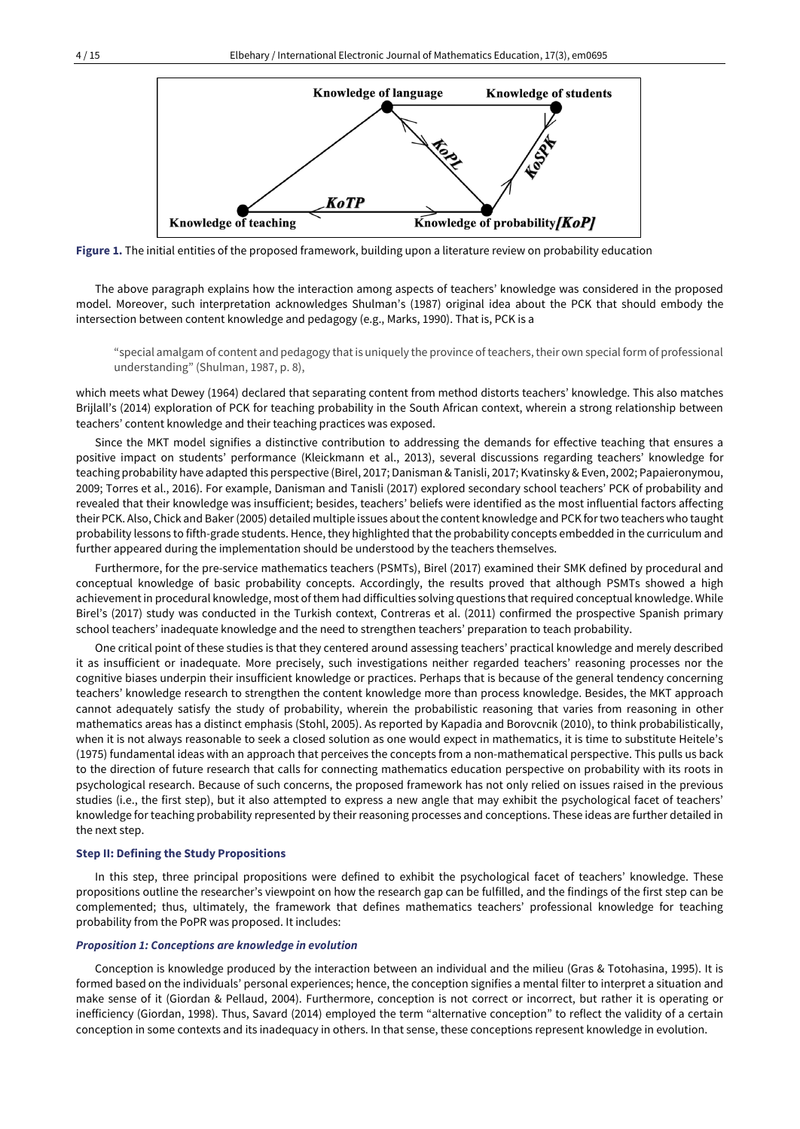

**Figure 1.** The initial entities of the proposed framework, building upon a literature review on probability education

The above paragraph explains how the interaction among aspects of teachers' knowledge was considered in the proposed model. Moreover, such interpretation acknowledges Shulman's (1987) original idea about the PCK that should embody the intersection between content knowledge and pedagogy (e.g., Marks, 1990). That is, PCK is a

"special amalgam of content and pedagogy that is uniquely the province of teachers, their own special form of professional understanding" (Shulman, 1987, p. 8),

which meets what Dewey (1964) declared that separating content from method distorts teachers' knowledge. This also matches Brijlall's (2014) exploration of PCK for teaching probability in the South African context, wherein a strong relationship between teachers' content knowledge and their teaching practices was exposed.

Since the MKT model signifies a distinctive contribution to addressing the demands for effective teaching that ensures a positive impact on students' performance (Kleickmann et al., 2013), several discussions regarding teachers' knowledge for teaching probability have adapted this perspective (Birel, 2017; Danisman & Tanisli, 2017; Kvatinsky & Even, 2002; Papaieronymou, 2009; Torres et al., 2016). For example, Danisman and Tanisli (2017) explored secondary school teachers' PCK of probability and revealed that their knowledge was insufficient; besides, teachers' beliefs were identified as the most influential factors affecting their PCK. Also, Chick and Baker(2005) detailed multiple issues aboutthe content knowledge and PCK fortwo teachers who taught probability lessons to fifth-grade students. Hence, they highlighted that the probability concepts embedded in the curriculum and further appeared during the implementation should be understood by the teachers themselves.

Furthermore, for the pre-service mathematics teachers (PSMTs), Birel (2017) examined their SMK defined by procedural and conceptual knowledge of basic probability concepts. Accordingly, the results proved that although PSMTs showed a high achievement in procedural knowledge, most of them had difficulties solving questions that required conceptual knowledge. While Birel's (2017) study was conducted in the Turkish context, Contreras et al. (2011) confirmed the prospective Spanish primary school teachers' inadequate knowledge and the need to strengthen teachers' preparation to teach probability.

One critical point of these studies is that they centered around assessing teachers' practical knowledge and merely described it as insufficient or inadequate. More precisely, such investigations neither regarded teachers' reasoning processes nor the cognitive biases underpin their insufficient knowledge or practices. Perhaps that is because of the general tendency concerning teachers' knowledge research to strengthen the content knowledge more than process knowledge. Besides, the MKT approach cannot adequately satisfy the study of probability, wherein the probabilistic reasoning that varies from reasoning in other mathematics areas has a distinct emphasis (Stohl, 2005). As reported by Kapadia and Borovcnik (2010), to think probabilistically, when it is not always reasonable to seek a closed solution as one would expect in mathematics, it is time to substitute Heitele's (1975) fundamental ideas with an approach that perceives the concepts from a non-mathematical perspective. This pulls us back to the direction of future research that calls for connecting mathematics education perspective on probability with its roots in psychological research. Because of such concerns, the proposed framework has not only relied on issues raised in the previous studies (i.e., the first step), but it also attempted to express a new angle that may exhibit the psychological facet of teachers' knowledge for teaching probability represented by their reasoning processes and conceptions. These ideas are further detailed in the next step.

#### **Step II: Defining the Study Propositions**

In this step, three principal propositions were defined to exhibit the psychological facet of teachers' knowledge. These propositions outline the researcher's viewpoint on how the research gap can be fulfilled, and the findings of the first step can be complemented; thus, ultimately, the framework that defines mathematics teachers' professional knowledge for teaching probability from the PoPR was proposed. It includes:

## *Proposition 1: Conceptions are knowledge in evolution*

Conception is knowledge produced by the interaction between an individual and the milieu (Gras & Totohasina, 1995). It is formed based on the individuals' personal experiences; hence, the conception signifies a mental filter to interpret a situation and make sense of it (Giordan & Pellaud, 2004). Furthermore, conception is not correct or incorrect, but rather it is operating or inefficiency (Giordan, 1998). Thus, Savard (2014) employed the term "alternative conception" to reflect the validity of a certain conception in some contexts and its inadequacy in others. In that sense, these conceptions represent knowledge in evolution.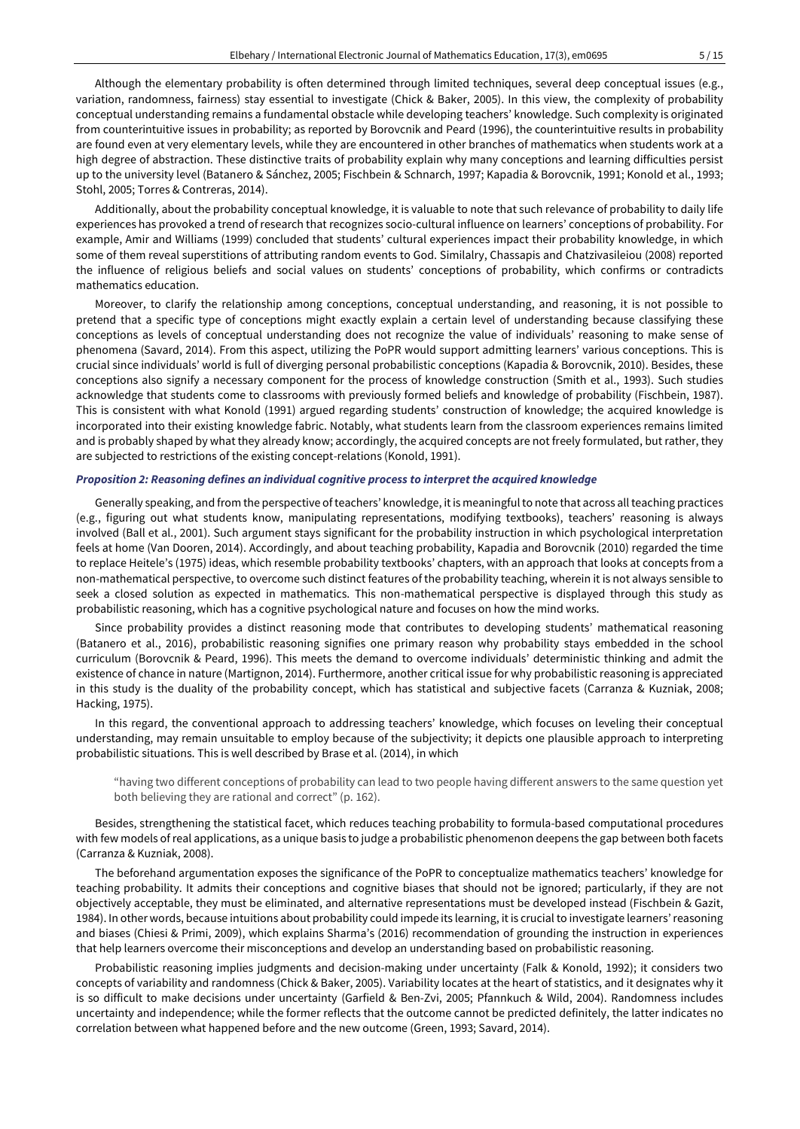Although the elementary probability is often determined through limited techniques, several deep conceptual issues (e.g., variation, randomness, fairness) stay essential to investigate (Chick & Baker, 2005). In this view, the complexity of probability conceptual understanding remains a fundamental obstacle while developing teachers' knowledge. Such complexity is originated from counterintuitive issues in probability; as reported by Borovcnik and Peard (1996), the counterintuitive results in probability are found even at very elementary levels, while they are encountered in other branches of mathematics when students work at a high degree of abstraction. These distinctive traits of probability explain why many conceptions and learning difficulties persist up to the university level (Batanero & Sánchez, 2005; Fischbein & Schnarch, 1997; Kapadia & Borovcnik, 1991; Konold et al., 1993; Stohl, 2005; Torres & Contreras, 2014).

Additionally, about the probability conceptual knowledge, it is valuable to note that such relevance of probability to daily life experiences has provoked a trend of research that recognizes socio-cultural influence on learners' conceptions of probability. For example, Amir and Williams (1999) concluded that students' cultural experiences impact their probability knowledge, in which some of them reveal superstitions of attributing random events to God. Similalry, Chassapis and Chatzivasileiou (2008) reported the influence of religious beliefs and social values on students' conceptions of probability, which confirms or contradicts mathematics education.

Moreover, to clarify the relationship among conceptions, conceptual understanding, and reasoning, it is not possible to pretend that a specific type of conceptions might exactly explain a certain level of understanding because classifying these conceptions as levels of conceptual understanding does not recognize the value of individuals' reasoning to make sense of phenomena (Savard, 2014). From this aspect, utilizing the PoPR would support admitting learners' various conceptions. This is crucial since individuals' world is full of diverging personal probabilistic conceptions (Kapadia & Borovcnik, 2010). Besides, these conceptions also signify a necessary component for the process of knowledge construction (Smith et al., 1993). Such studies acknowledge that students come to classrooms with previously formed beliefs and knowledge of probability (Fischbein, 1987). This is consistent with what Konold (1991) argued regarding students' construction of knowledge; the acquired knowledge is incorporated into their existing knowledge fabric. Notably, what students learn from the classroom experiences remains limited and is probably shaped by what they already know; accordingly, the acquired concepts are not freely formulated, but rather, they are subjected to restrictions of the existing concept-relations (Konold, 1991).

## *Proposition 2: Reasoning defines an individual cognitive process to interpret the acquired knowledge*

Generally speaking, and from the perspective of teachers' knowledge, it is meaningful to note that across all teaching practices (e.g., figuring out what students know, manipulating representations, modifying textbooks), teachers' reasoning is always involved (Ball et al., 2001). Such argument stays significant for the probability instruction in which psychological interpretation feels at home (Van Dooren, 2014). Accordingly, and about teaching probability, Kapadia and Borovcnik (2010) regarded the time to replace Heitele's (1975) ideas, which resemble probability textbooks' chapters, with an approach that looks at concepts from a non-mathematical perspective, to overcome such distinct features of the probability teaching, wherein it is not always sensible to seek a closed solution as expected in mathematics. This non-mathematical perspective is displayed through this study as probabilistic reasoning, which has a cognitive psychological nature and focuses on how the mind works.

Since probability provides a distinct reasoning mode that contributes to developing students' mathematical reasoning (Batanero et al., 2016), probabilistic reasoning signifies one primary reason why probability stays embedded in the school curriculum (Borovcnik & Peard, 1996). This meets the demand to overcome individuals' deterministic thinking and admit the existence of chance in nature (Martignon, 2014). Furthermore, another critical issue for why probabilistic reasoning is appreciated in this study is the duality of the probability concept, which has statistical and subjective facets (Carranza & Kuzniak, 2008; Hacking, 1975).

In this regard, the conventional approach to addressing teachers' knowledge, which focuses on leveling their conceptual understanding, may remain unsuitable to employ because of the subjectivity; it depicts one plausible approach to interpreting probabilistic situations. This is well described by Brase et al. (2014), in which

"having two different conceptions of probability can lead to two people having different answers to the same question yet both believing they are rational and correct" (p. 162).

Besides, strengthening the statistical facet, which reduces teaching probability to formula-based computational procedures with few models of real applications, as a unique basis to judge a probabilistic phenomenon deepens the gap between both facets (Carranza & Kuzniak, 2008).

The beforehand argumentation exposes the significance of the PoPR to conceptualize mathematics teachers' knowledge for teaching probability. It admits their conceptions and cognitive biases that should not be ignored; particularly, if they are not objectively acceptable, they must be eliminated, and alternative representations must be developed instead (Fischbein & Gazit, 1984). In other words, because intuitions about probability could impede its learning, itis crucial to investigate learners' reasoning and biases (Chiesi & Primi, 2009), which explains Sharma's (2016) recommendation of grounding the instruction in experiences that help learners overcome their misconceptions and develop an understanding based on probabilistic reasoning.

Probabilistic reasoning implies judgments and decision-making under uncertainty (Falk & Konold, 1992); it considers two concepts of variability and randomness (Chick & Baker, 2005). Variability locates at the heart of statistics, and it designates why it is so difficult to make decisions under uncertainty (Garfield & Ben-Zvi, 2005; Pfannkuch & Wild, 2004). Randomness includes uncertainty and independence; while the former reflects that the outcome cannot be predicted definitely, the latter indicates no correlation between what happened before and the new outcome (Green, 1993; Savard, 2014).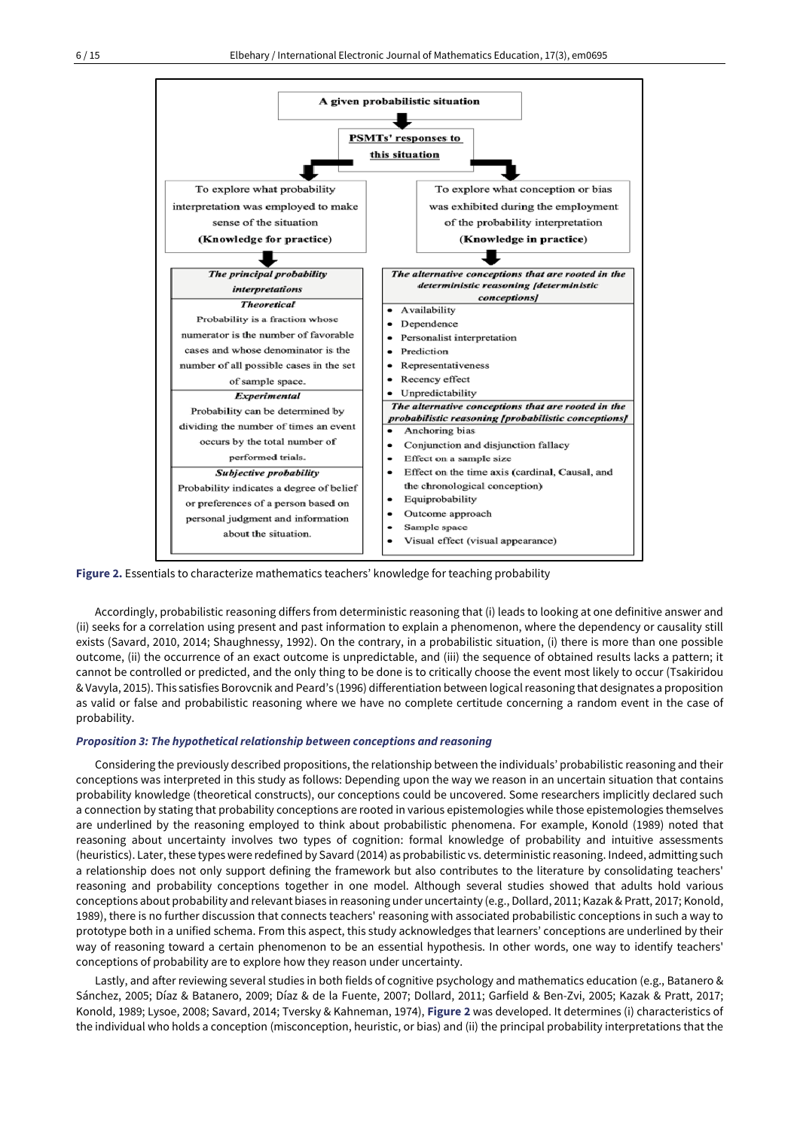

**Figure 2.** Essentials to characterize mathematics teachers' knowledge for teaching probability

Accordingly, probabilistic reasoning differs from deterministic reasoning that (i) leads to looking at one definitive answer and (ii) seeks for a correlation using present and past information to explain a phenomenon, where the dependency or causality still exists (Savard, 2010, 2014; Shaughnessy, 1992). On the contrary, in a probabilistic situation, (i) there is more than one possible outcome, (ii) the occurrence of an exact outcome is unpredictable, and (iii) the sequence of obtained results lacks a pattern; it cannot be controlled or predicted, and the only thing to be done is to critically choose the event most likely to occur (Tsakiridou & Vavyla, 2015). This satisfies Borovcnik and Peard's (1996) differentiation between logicalreasoning that designates a proposition as valid or false and probabilistic reasoning where we have no complete certitude concerning a random event in the case of probability.

## *Proposition 3: The hypothetical relationship between conceptions and reasoning*

Considering the previously described propositions, the relationship between the individuals' probabilistic reasoning and their conceptions was interpreted in this study as follows: Depending upon the way we reason in an uncertain situation that contains probability knowledge (theoretical constructs), our conceptions could be uncovered. Some researchers implicitly declared such a connection by stating that probability conceptions are rooted in various epistemologies while those epistemologies themselves are underlined by the reasoning employed to think about probabilistic phenomena. For example, Konold (1989) noted that reasoning about uncertainty involves two types of cognition: formal knowledge of probability and intuitive assessments (heuristics). Later, these types were redefined by Savard (2014) as probabilistic vs. deterministic reasoning. Indeed, admitting such a relationship does not only support defining the framework but also contributes to the literature by consolidating teachers' reasoning and probability conceptions together in one model. Although several studies showed that adults hold various conceptions about probability and relevant biases in reasoning under uncertainty (e.g., Dollard, 2011; Kazak & Pratt, 2017; Konold, 1989), there is no further discussion that connects teachers' reasoning with associated probabilistic conceptions in such a way to prototype both in a unified schema. From this aspect, this study acknowledges that learners' conceptions are underlined by their way of reasoning toward a certain phenomenon to be an essential hypothesis. In other words, one way to identify teachers' conceptions of probability are to explore how they reason under uncertainty.

Lastly, and after reviewing several studies in both fields of cognitive psychology and mathematics education (e.g., Batanero & Sánchez, 2005; Díaz & Batanero, 2009; Díaz & de la Fuente, 2007; Dollard, 2011; Garfield & Ben-Zvi, 2005; Kazak & Pratt, 2017; Konold, 1989; Lysoe, 2008; Savard, 2014; Tversky & Kahneman, 1974), **Figure 2** was developed. It determines (i) characteristics of the individual who holds a conception (misconception, heuristic, or bias) and (ii) the principal probability interpretations that the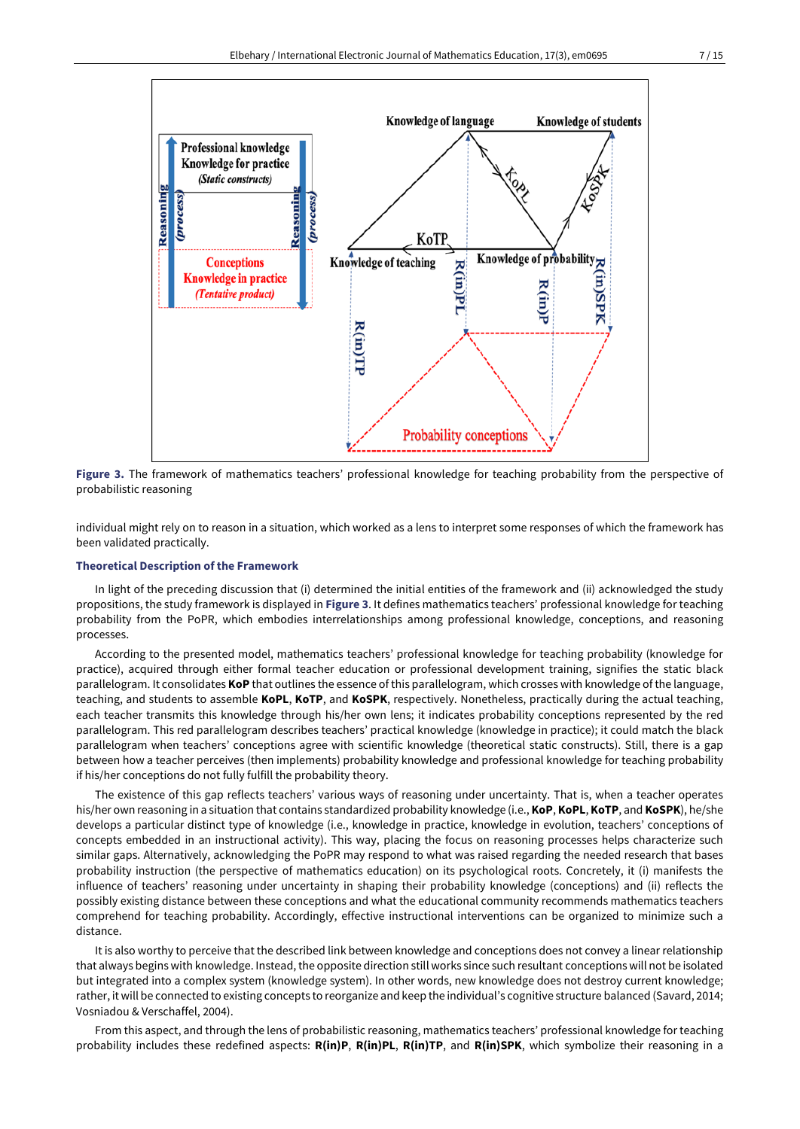

**Figure 3.** The framework of mathematics teachers' professional knowledge for teaching probability from the perspective of probabilistic reasoning

individual might rely on to reason in a situation, which worked as a lens to interpret some responses of which the framework has been validated practically.

## **Theoretical Description of the Framework**

In light of the preceding discussion that (i) determined the initial entities of the framework and (ii) acknowledged the study propositions, the study framework is displayed in **Figure 3**. It defines mathematics teachers' professional knowledge for teaching probability from the PoPR, which embodies interrelationships among professional knowledge, conceptions, and reasoning processes.

According to the presented model, mathematics teachers' professional knowledge for teaching probability (knowledge for practice), acquired through either formal teacher education or professional development training, signifies the static black parallelogram. It consolidates **KoP** that outlines the essence of this parallelogram, which crosses with knowledge of the language, teaching, and students to assemble **KoPL**, **KoTP**, and **KoSPK**, respectively. Nonetheless, practically during the actual teaching, each teacher transmits this knowledge through his/her own lens; it indicates probability conceptions represented by the red parallelogram. This red parallelogram describes teachers' practical knowledge (knowledge in practice); it could match the black parallelogram when teachers' conceptions agree with scientific knowledge (theoretical static constructs). Still, there is a gap between how a teacher perceives (then implements) probability knowledge and professional knowledge for teaching probability if his/her conceptions do not fully fulfill the probability theory.

The existence of this gap reflects teachers' various ways of reasoning under uncertainty. That is, when a teacher operates his/her own reasoning in a situation that contains standardized probability knowledge (i.e., **KoP**, **KoPL**, **KoTP**, and **KoSPK**), he/she develops a particular distinct type of knowledge (i.e., knowledge in practice, knowledge in evolution, teachers' conceptions of concepts embedded in an instructional activity). This way, placing the focus on reasoning processes helps characterize such similar gaps. Alternatively, acknowledging the PoPR may respond to what was raised regarding the needed research that bases probability instruction (the perspective of mathematics education) on its psychological roots. Concretely, it (i) manifests the influence of teachers' reasoning under uncertainty in shaping their probability knowledge (conceptions) and (ii) reflects the possibly existing distance between these conceptions and what the educational community recommends mathematics teachers comprehend for teaching probability. Accordingly, effective instructional interventions can be organized to minimize such a distance.

It is also worthy to perceive that the described link between knowledge and conceptions does not convey a linear relationship that always begins with knowledge. Instead, the opposite direction still works since such resultant conceptions will not be isolated but integrated into a complex system (knowledge system). In other words, new knowledge does not destroy current knowledge; rather, it will be connected to existing concepts to reorganize and keep the individual's cognitive structure balanced (Savard, 2014; Vosniadou & Verschaffel, 2004).

From this aspect, and through the lens of probabilistic reasoning, mathematics teachers' professional knowledge for teaching probability includes these redefined aspects: **R(in)P**, **R(in)PL**, **R(in)TP**, and **R(in)SPK**, which symbolize their reasoning in a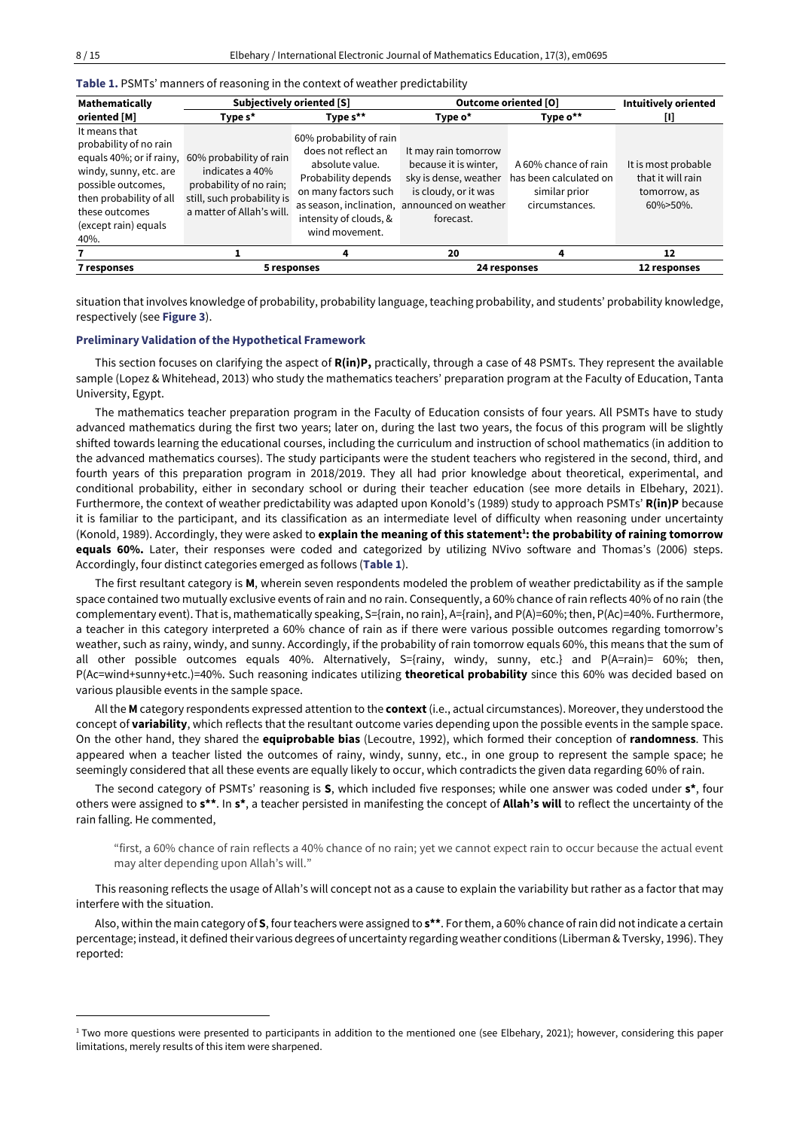**Table 1.** PSMTs' manners of reasoning in the context of weather predictability

| Mathematically                                                                                                                                                                                   | <b>Subjectively oriented [S]</b>                                                                                                 |                                                                                                                                                              | Outcome oriented [O]                                                                                                                                        |                                                                                   | <b>Intuitively oriented</b>                                               |
|--------------------------------------------------------------------------------------------------------------------------------------------------------------------------------------------------|----------------------------------------------------------------------------------------------------------------------------------|--------------------------------------------------------------------------------------------------------------------------------------------------------------|-------------------------------------------------------------------------------------------------------------------------------------------------------------|-----------------------------------------------------------------------------------|---------------------------------------------------------------------------|
| oriented [M]                                                                                                                                                                                     | Type s*                                                                                                                          | Type $s^{\star\star}$                                                                                                                                        | Type o*                                                                                                                                                     | Type o**                                                                          | U                                                                         |
| It means that<br>probability of no rain<br>equals 40%; or if rainy,<br>windy, sunny, etc. are<br>possible outcomes,<br>then probability of all<br>these outcomes<br>(except rain) equals<br>40%. | 60% probability of rain<br>indicates a 40%<br>probability of no rain;<br>still, such probability is<br>a matter of Allah's will. | 60% probability of rain<br>does not reflect an<br>absolute value.<br>Probability depends<br>on many factors such<br>intensity of clouds, &<br>wind movement. | It may rain tomorrow<br>because it is winter,<br>sky is dense, weather<br>is cloudy, or it was<br>as season, inclination, announced on weather<br>forecast. | A 60% chance of rain<br>has been calculated on<br>similar prior<br>circumstances. | It is most probable<br>that it will rain<br>tomorrow, as<br>$60\%$ > 50%. |
|                                                                                                                                                                                                  |                                                                                                                                  |                                                                                                                                                              | 20                                                                                                                                                          | 4                                                                                 | 12                                                                        |
| 7 responses                                                                                                                                                                                      | 5 responses                                                                                                                      |                                                                                                                                                              |                                                                                                                                                             | 24 responses                                                                      | 12 responses                                                              |

situation that involves knowledge of probability, probability language, teaching probability, and students' probability knowledge, respectively (see **Figure 3**).

## **Preliminary Validation of the Hypothetical Framework**

This section focuses on clarifying the aspect of **R(in)P,** practically, through a case of 48 PSMTs. They represent the available sample (Lopez & Whitehead, 2013) who study the mathematics teachers' preparation program at the Faculty of Education, Tanta University, Egypt.

The mathematics teacher preparation program in the Faculty of Education consists of four years. All PSMTs have to study advanced mathematics during the first two years; later on, during the last two years, the focus of this program will be slightly shifted towards learning the educational courses, including the curriculum and instruction of school mathematics (in addition to the advanced mathematics courses). The study participants were the student teachers who registered in the second, third, and fourth years of this preparation program in 2018/2019. They all had prior knowledge about theoretical, experimental, and conditional probability, either in secondary school or during their teacher education (see more details in Elbehary, 2021). Furthermore, the context of weather predictability was adapted upon Konold's (1989) study to approach PSMTs' **R(in)P** because it is familiar to the participant, and its classification as an intermediate level of difficulty when reasoning under uncertainty (Konold, 1989). Accordingly, they were asked to **explain the meaning of this statement<sup>1</sup> : the probability of raining tomorrow equals 60%.** Later, their responses were coded and categorized by utilizing NVivo software and Thomas's (2006) steps. Accordingly, four distinct categories emerged as follows (**Table 1**).

The first resultant category is **M**, wherein seven respondents modeled the problem of weather predictability as if the sample space contained two mutually exclusive events of rain and no rain. Consequently, a 60% chance of rain reflects 40% of no rain (the complementary event). That is, mathematically speaking, S={rain, no rain}, A={rain}, and P(A)=60%; then, P(Ac)=40%. Furthermore, a teacher in this category interpreted a 60% chance of rain as if there were various possible outcomes regarding tomorrow's weather, such as rainy, windy, and sunny. Accordingly, if the probability of rain tomorrow equals 60%, this means that the sum of all other possible outcomes equals 40%. Alternatively, S={rainy, windy, sunny, etc.} and P(A=rain)= 60%; then, P(Ac=wind+sunny+etc.)=40%. Such reasoning indicates utilizing **theoretical probability** since this 60% was decided based on various plausible events in the sample space.

All the **M** category respondents expressed attention to the **context**(i.e., actual circumstances). Moreover, they understood the concept of **variability**, which reflects that the resultant outcome varies depending upon the possible events in the sample space. On the other hand, they shared the **equiprobable bias** (Lecoutre, 1992), which formed their conception of **randomness**. This appeared when a teacher listed the outcomes of rainy, windy, sunny, etc., in one group to represent the sample space; he seemingly considered that all these events are equally likely to occur, which contradicts the given data regarding 60% of rain.

The second category of PSMTs' reasoning is **S**, which included five responses; while one answer was coded under **s\***, four others were assigned to **s\*\***. In **s\***, a teacher persisted in manifesting the concept of **Allah's will** to reflect the uncertainty of the rain falling. He commented,

"first, a 60% chance of rain reflects a 40% chance of no rain; yet we cannot expect rain to occur because the actual event may alter depending upon Allah's will."

This reasoning reflects the usage of Allah's will concept not as a cause to explain the variability but rather as a factor that may interfere with the situation.

Also, within the main category of **S**, fourteachers were assigned to **s\*\***. Forthem, a 60% chance ofrain did notindicate a certain percentage; instead, it defined their various degrees of uncertainty regarding weather conditions (Liberman & Tversky, 1996). They reported:

<sup>&</sup>lt;sup>1</sup> Two more questions were presented to participants in addition to the mentioned one (see Elbehary, 2021); however, considering this paper limitations, merely results of this item were sharpened.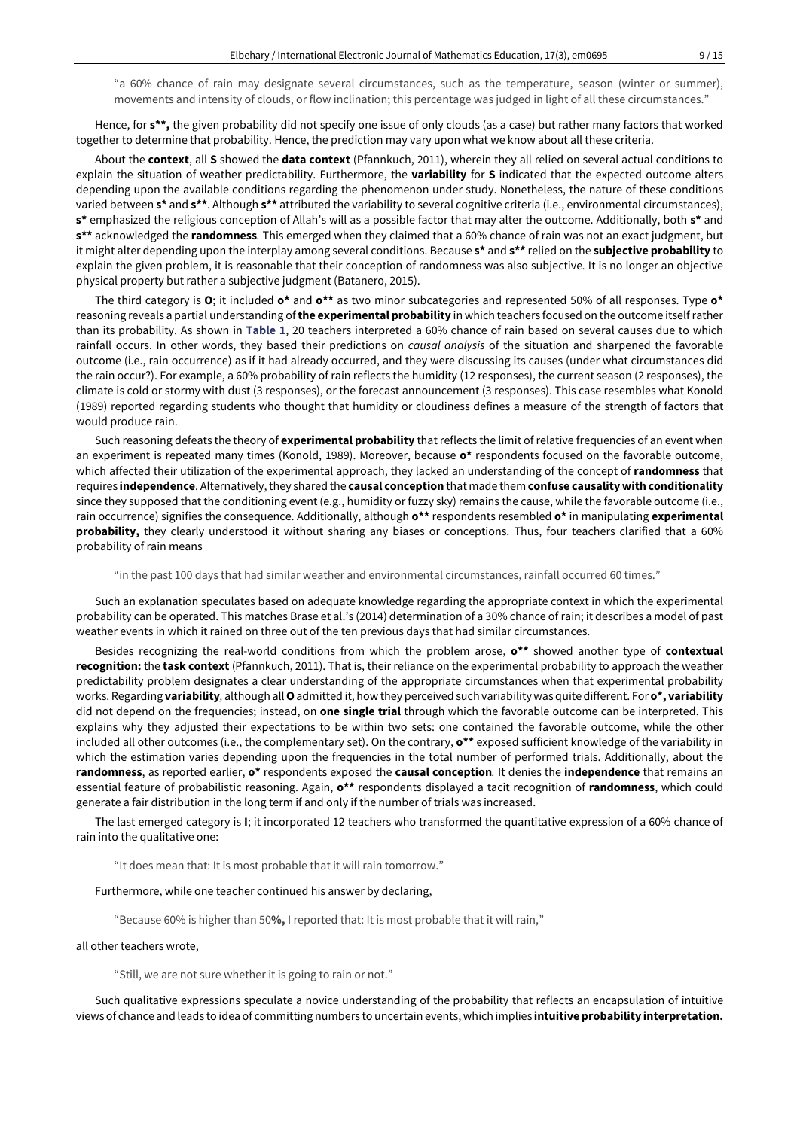"a 60% chance of rain may designate several circumstances, such as the temperature, season (winter or summer), movements and intensity of clouds, or flow inclination; this percentage was judged in light of all these circumstances."

Hence, for **s\*\*,** the given probability did not specify one issue of only clouds (as a case) but rather many factors that worked together to determine that probability. Hence, the prediction may vary upon what we know about all these criteria.

About the **context**, all **S** showed the **data context** (Pfannkuch, 2011), wherein they all relied on several actual conditions to explain the situation of weather predictability. Furthermore, the **variability** for **S** indicated that the expected outcome alters depending upon the available conditions regarding the phenomenon under study. Nonetheless, the nature of these conditions varied between s<sup>\*</sup> and s<sup>\*\*</sup>. Although s<sup>\*\*</sup> attributed the variability to several cognitive criteria (i.e., environmental circumstances), **s\*** emphasized the religious conception of Allah's will as a possible factor that may alter the outcome. Additionally, both **s\*** and **s\*\*** acknowledged the **randomness***.* This emerged when they claimed that a 60% chance of rain was not an exact judgment, but it might alter depending upon the interplay among several conditions. Because **s\*** and **s\*\*** relied on the **subjective probability** to explain the given problem, it is reasonable that their conception of randomness was also subjective*.* It is no longer an objective physical property but rather a subjective judgment (Batanero, 2015).

The third category is **O**; it included **o\*** and **o\*\*** as two minor subcategories and represented 50% of all responses. Type **o\*** reasoning reveals a partial understanding of**the experimental probability** in which teachers focused on the outcome itself rather than its probability. As shown in **Table 1**, 20 teachers interpreted a 60% chance of rain based on several causes due to which rainfall occurs. In other words, they based their predictions on *causal analysis* of the situation and sharpened the favorable outcome (i.e., rain occurrence) as if it had already occurred, and they were discussing its causes (under what circumstances did the rain occur?). For example, a 60% probability of rain reflects the humidity (12 responses), the current season (2 responses), the climate is cold or stormy with dust (3 responses), or the forecast announcement (3 responses). This case resembles what Konold (1989) reported regarding students who thought that humidity or cloudiness defines a measure of the strength of factors that would produce rain.

Such reasoning defeats the theory of **experimental probability** that reflects the limit of relative frequencies of an event when an experiment is repeated many times (Konold, 1989). Moreover, because **o\*** respondents focused on the favorable outcome, which affected their utilization of the experimental approach, they lacked an understanding of the concept of **randomness** that requires **independence**. Alternatively,they shared the **causal conception** that made them **confuse causalitywith conditionality** since they supposed that the conditioning event (e.g., humidity or fuzzy sky) remains the cause, while the favorable outcome (i.e., rain occurrence) signifies the consequence. Additionally, although **o\*\*** respondents resembled **o\*** in manipulating **experimental probability,** they clearly understood it without sharing any biases or conceptions. Thus, four teachers clarified that a 60% probability of rain means

"in the past 100 days that had similar weather and environmental circumstances, rainfall occurred 60 times."

Such an explanation speculates based on adequate knowledge regarding the appropriate context in which the experimental probability can be operated. This matches Brase et al.'s (2014) determination of a 30% chance of rain; it describes a model of past weather events in which it rained on three out of the ten previous days that had similar circumstances.

Besides recognizing the real-world conditions from which the problem arose, **o\*\*** showed another type of **contextual recognition:** the **task context** (Pfannkuch, 2011). That is, their reliance on the experimental probability to approach the weather predictability problem designates a clear understanding of the appropriate circumstances when that experimental probability works. Regarding **variability***,* although all**O**admitted it, how they perceived such variability was quite different. For **o\*, variability** did not depend on the frequencies; instead, on **one single trial** through which the favorable outcome can be interpreted. This explains why they adjusted their expectations to be within two sets: one contained the favorable outcome, while the other included all other outcomes (i.e., the complementary set). On the contrary, **o\*\*** exposed sufficient knowledge of the variability in which the estimation varies depending upon the frequencies in the total number of performed trials. Additionally, about the **randomness**, as reported earlier, **o\*** respondents exposed the **causal conception***.* It denies the **independence** that remains an essential feature of probabilistic reasoning. Again, **o\*\*** respondents displayed a tacit recognition of **randomness**, which could generate a fair distribution in the long term if and only if the number of trials was increased.

The last emerged category is **I**; it incorporated 12 teachers who transformed the quantitative expression of a 60% chance of rain into the qualitative one:

"It does mean that: It is most probable that it will rain tomorrow."

## Furthermore, while one teacher continued his answer by declaring,

"Because 60% is higher than 50**%,** I reported that: It is most probable that it will rain,"

#### all other teachers wrote,

"Still, we are not sure whether it is going to rain or not."

Such qualitative expressions speculate a novice understanding of the probability that reflects an encapsulation of intuitive views of chance and leads to idea of committing numbers to uncertain events, which implies **intuitive probability interpretation.**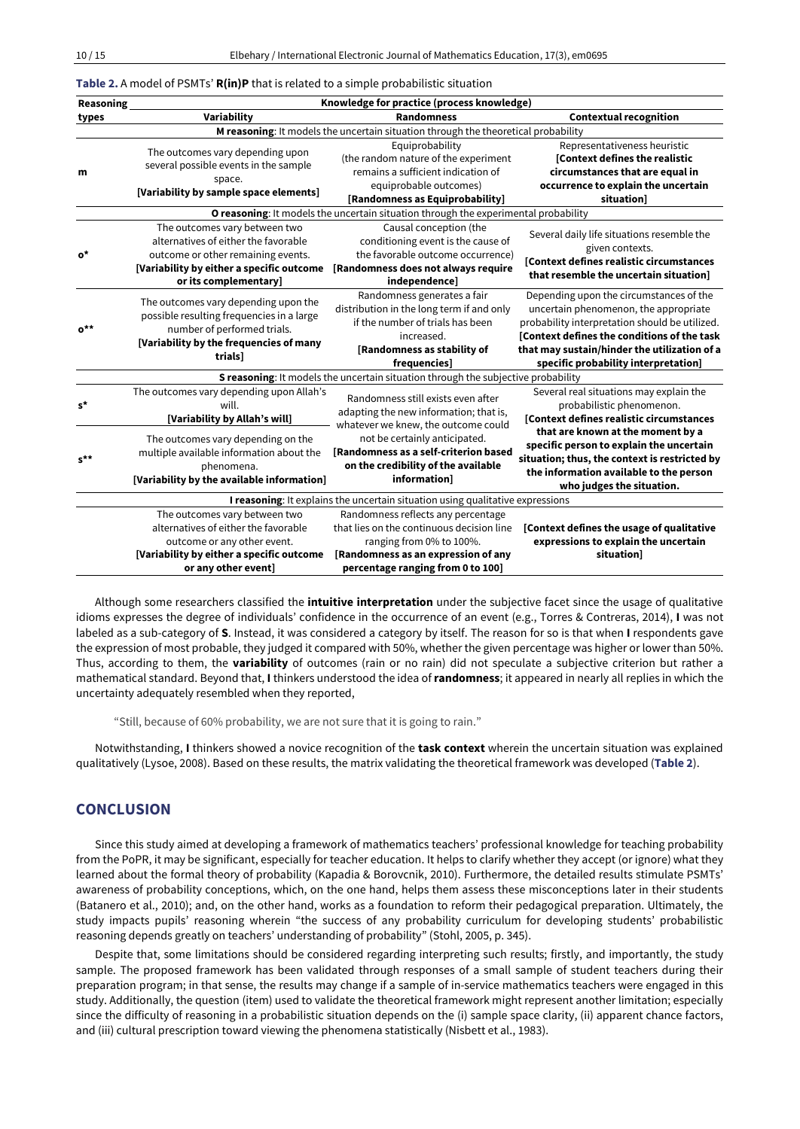#### **Table 2.** A model of PSMTs' **R(in)P** that is related to a simple probabilistic situation

| Reasoning                                                                      | Knowledge for practice (process knowledge)                                                                                                                                        |                                                                                                                                                                                         |                                                                                                                                                                                                                                                                                                                            |  |  |  |  |
|--------------------------------------------------------------------------------|-----------------------------------------------------------------------------------------------------------------------------------------------------------------------------------|-----------------------------------------------------------------------------------------------------------------------------------------------------------------------------------------|----------------------------------------------------------------------------------------------------------------------------------------------------------------------------------------------------------------------------------------------------------------------------------------------------------------------------|--|--|--|--|
| types                                                                          | Variability                                                                                                                                                                       | <b>Randomness</b>                                                                                                                                                                       | <b>Contextual recognition</b>                                                                                                                                                                                                                                                                                              |  |  |  |  |
|                                                                                | M reasoning: It models the uncertain situation through the theoretical probability                                                                                                |                                                                                                                                                                                         |                                                                                                                                                                                                                                                                                                                            |  |  |  |  |
| m                                                                              | The outcomes vary depending upon<br>several possible events in the sample<br>space.<br>[Variability by sample space elements]                                                     | Equiprobability<br>(the random nature of the experiment<br>remains a sufficient indication of<br>equiprobable outcomes)<br>[Randomness as Equiprobability]                              | Representativeness heuristic<br><b>Context defines the realistic</b><br>circumstances that are equal in<br>occurrence to explain the uncertain<br>situation]                                                                                                                                                               |  |  |  |  |
|                                                                                |                                                                                                                                                                                   | O reasoning: It models the uncertain situation through the experimental probability                                                                                                     |                                                                                                                                                                                                                                                                                                                            |  |  |  |  |
| o*                                                                             | The outcomes vary between two<br>alternatives of either the favorable<br>outcome or other remaining events.<br>[Variability by either a specific outcome<br>or its complementary] | Causal conception (the<br>conditioning event is the cause of<br>the favorable outcome occurrence)<br>[Randomness does not always require<br>independence]                               | Several daily life situations resemble the<br>given contexts.<br>[Context defines realistic circumstances<br>that resemble the uncertain situation]                                                                                                                                                                        |  |  |  |  |
| $o^{\star\star}$                                                               | The outcomes vary depending upon the<br>possible resulting frequencies in a large<br>number of performed trials.<br>[Variability by the frequencies of many                       | Randomness generates a fair<br>distribution in the long term if and only<br>if the number of trials has been<br>increased.<br>[Randomness as stability of                               | Depending upon the circumstances of the<br>uncertain phenomenon, the appropriate<br>probability interpretation should be utilized.<br>[Context defines the conditions of the task<br>that may sustain/hinder the utilization of a                                                                                          |  |  |  |  |
|                                                                                | trials]                                                                                                                                                                           | frequencies]                                                                                                                                                                            | specific probability interpretation]                                                                                                                                                                                                                                                                                       |  |  |  |  |
|                                                                                | S reasoning: It models the uncertain situation through the subjective probability                                                                                                 |                                                                                                                                                                                         |                                                                                                                                                                                                                                                                                                                            |  |  |  |  |
| $s^{\star}$                                                                    | The outcomes vary depending upon Allah's<br>will.<br>[Variability by Allah's will]                                                                                                | Randomness still exists even after<br>adapting the new information; that is,<br>whatever we knew, the outcome could                                                                     | Several real situations may explain the<br>probabilistic phenomenon.<br>[Context defines realistic circumstances<br>that are known at the moment by a<br>specific person to explain the uncertain<br>situation; thus, the context is restricted by<br>the information available to the person<br>who judges the situation. |  |  |  |  |
| $s^{\star\star}$                                                               | The outcomes vary depending on the<br>multiple available information about the<br>phenomena.<br>[Variability by the available information]                                        | not be certainly anticipated.<br>[Randomness as a self-criterion based<br>on the credibility of the available<br>information]                                                           |                                                                                                                                                                                                                                                                                                                            |  |  |  |  |
| I reasoning: It explains the uncertain situation using qualitative expressions |                                                                                                                                                                                   |                                                                                                                                                                                         |                                                                                                                                                                                                                                                                                                                            |  |  |  |  |
|                                                                                | The outcomes vary between two<br>alternatives of either the favorable<br>outcome or any other event.<br>[Variability by either a specific outcome<br>or any other event]          | Randomness reflects any percentage<br>that lies on the continuous decision line<br>ranging from 0% to 100%.<br>[Randomness as an expression of any<br>percentage ranging from 0 to 100] | [Context defines the usage of qualitative<br>expressions to explain the uncertain<br>situation]                                                                                                                                                                                                                            |  |  |  |  |

Although some researchers classified the **intuitive interpretation** under the subjective facet since the usage of qualitative idioms expresses the degree of individuals' confidence in the occurrence of an event (e.g., Torres & Contreras, 2014), **I** was not labeled as a sub-category of **S**. Instead, it was considered a category by itself. The reason for so is that when **I** respondents gave the expression of most probable, they judged it compared with 50%, whether the given percentage was higher or lower than 50%. Thus, according to them, the **variability** of outcomes (rain or no rain) did not speculate a subjective criterion but rather a mathematical standard. Beyond that, **I** thinkers understood the idea of**randomness**; it appeared in nearly all replies in which the uncertainty adequately resembled when they reported,

"Still, because of 60% probability, we are not sure that it is going to rain."

Notwithstanding, **I** thinkers showed a novice recognition of the **task context** wherein the uncertain situation was explained qualitatively (Lysoe, 2008). Based on these results, the matrix validating the theoretical framework was developed (**Table 2**).

## **CONCLUSION**

Since this study aimed at developing a framework of mathematics teachers' professional knowledge for teaching probability from the PoPR, it may be significant, especially for teacher education. It helps to clarify whether they accept (or ignore) what they learned about the formal theory of probability (Kapadia & Borovcnik, 2010). Furthermore, the detailed results stimulate PSMTs' awareness of probability conceptions, which, on the one hand, helps them assess these misconceptions later in their students (Batanero et al., 2010); and, on the other hand, works as a foundation to reform their pedagogical preparation. Ultimately, the study impacts pupils' reasoning wherein "the success of any probability curriculum for developing students' probabilistic reasoning depends greatly on teachers' understanding of probability" (Stohl, 2005, p. 345).

Despite that, some limitations should be considered regarding interpreting such results; firstly, and importantly, the study sample. The proposed framework has been validated through responses of a small sample of student teachers during their preparation program; in that sense, the results may change if a sample of in-service mathematics teachers were engaged in this study. Additionally, the question (item) used to validate the theoretical framework might represent another limitation; especially since the difficulty of reasoning in a probabilistic situation depends on the (i) sample space clarity, (ii) apparent chance factors, and (iii) cultural prescription toward viewing the phenomena statistically (Nisbett et al., 1983).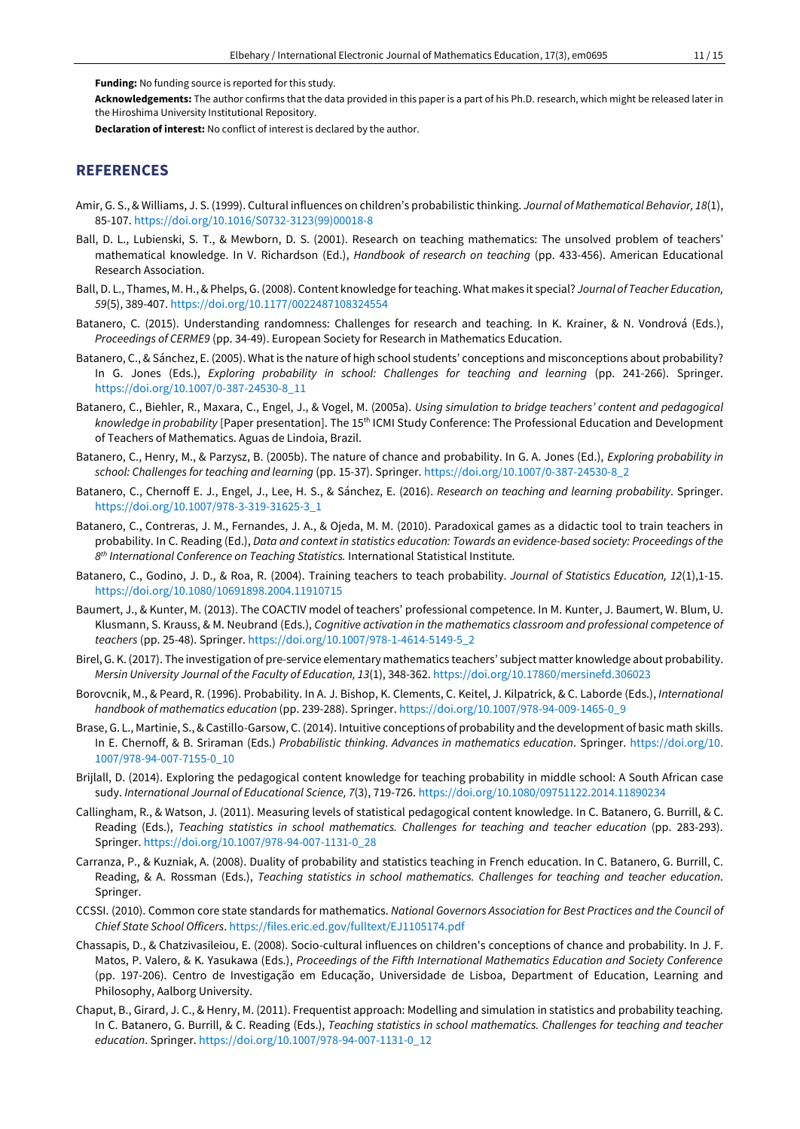**Funding:** No funding source is reported for this study.

**Acknowledgements:** The author confirms that the data provided in this paper is a part of his Ph.D. research, which might be released later in the Hiroshima University Institutional Repository.

**Declaration of interest:** No conflict of interest is declared by the author.

# **REFERENCES**

- Amir, G. S., & Williams, J. S. (1999). Cultural influences on children's probabilistic thinking. *Journal of Mathematical Behavior, 18*(1), 85-107. [https://doi.org/10.1016/S0732-3123\(99\)00018-8](https://doi.org/10.1016/S0732-3123(99)00018-8)
- Ball, D. L., Lubienski, S. T., & Mewborn, D. S. (2001). Research on teaching mathematics: The unsolved problem of teachers' mathematical knowledge. In V. Richardson (Ed.), *Handbook of research on teaching* (pp. 433-456). American Educational Research Association.
- Ball, D. L., Thames, M. H., & Phelps, G. (2008). Content knowledge forteaching. What makes it special? *Journal of Teacher Education, 59*(5), 389-407. <https://doi.org/10.1177/0022487108324554>
- Batanero, C. (2015). Understanding randomness: Challenges for research and teaching. In K. Krainer, & N. Vondrová (Eds.), *Proceedings of CERME9* (pp. 34-49). European Society for Research in Mathematics Education.
- Batanero, C., & Sánchez, E. (2005). What is the nature of high school students' conceptions and misconceptions about probability? In G. Jones (Eds.), *Exploring probability in school: Challenges for teaching and learning* (pp. 241-266). Springer. [https://doi.org/10.1007/0-387-24530-8\\_11](https://doi.org/10.1007/0-387-24530-8_11)
- Batanero, C., Biehler, R., Maxara, C., Engel, J., & Vogel, M. (2005a). *Using simulation to bridge teachers' content and pedagogical knowledge in probability* [Paper presentation]. The 15th ICMI Study Conference: The Professional Education and Development of Teachers of Mathematics. Aguas de Lindoia, Brazil.
- Batanero, C., Henry, M., & Parzysz, B. (2005b). The nature of chance and probability. In G. A. Jones (Ed.), *Exploring probability in school: Challenges for teaching and learning* (pp. 15-37). Springer[. https://doi.org/10.1007/0-387-24530-8\\_2](https://doi.org/10.1007/0-387-24530-8_2)
- Batanero, C., Chernoff E. J., Engel, J., Lee, H. S., & Sánchez, E. (2016). *Research on teaching and learning probability*. Springer. [https://doi.org/10.1007/978-3-319-31625-3\\_1](https://doi.org/10.1007/978-3-319-31625-3_1)
- Batanero, C., Contreras, J. M., Fernandes, J. A., & Ojeda, M. M. (2010). Paradoxical games as a didactic tool to train teachers in probability. In C. Reading (Ed.), *Data and context in statistics education: Towards an evidence-based society: Proceedings of the 8 th International Conference on Teaching Statistics.* International Statistical Institute.
- Batanero, C., Godino, J. D., & Roa, R. (2004). Training teachers to teach probability. *Journal of Statistics Education, 12*(1),1-15. <https://doi.org/10.1080/10691898.2004.11910715>
- Baumert, J., & Kunter, M. (2013). The COACTIV model of teachers' professional competence. In M. Kunter, J. Baumert, W. Blum, U. Klusmann, S. Krauss, & M. Neubrand (Eds.), *Cognitive activation in the mathematics classroom and professional competence of teachers* (pp. 25-48). Springer. [https://doi.org/10.1007/978-1-4614-5149-5\\_2](https://doi.org/10.1007/978-1-4614-5149-5_2)
- Birel, G. K. (2017). The investigation of pre-service elementary mathematics teachers' subject matter knowledge about probability. *Mersin University Journal of the Faculty of Education, 13*(1), 348-362. <https://doi.org/10.17860/mersinefd.306023>
- Borovcnik, M., & Peard, R. (1996). Probability. In A. J. Bishop, K. Clements, C. Keitel, J. Kilpatrick, & C. Laborde (Eds.), *International handbook of mathematics education* (pp. 239-288). Springer. [https://doi.org/10.1007/978-94-009-1465-0\\_9](https://doi.org/10.1007/978-94-009-1465-0_9)
- Brase, G. L., Martinie, S., & Castillo-Garsow, C. (2014). Intuitive conceptions of probability and the development of basic math skills. In E. Chernoff, & B. Sriraman (Eds.) *Probabilistic thinking. Advances in mathematics education*. Springer. [https://doi.org/10.](https://doi.org/10.1007/978-94-007-7155-0_10) [1007/978-94-007-7155-0\\_10](https://doi.org/10.1007/978-94-007-7155-0_10)
- Brijlall, D. (2014). Exploring the pedagogical content knowledge for teaching probability in middle school: A South African case sudy. *International Journal of Educational Science, 7*(3), 719-726. <https://doi.org/10.1080/09751122.2014.11890234>
- Callingham, R., & Watson, J. (2011). Measuring levels of statistical pedagogical content knowledge. In C. Batanero, G. Burrill, & C. Reading (Eds.), *Teaching statistics in school mathematics. Challenges for teaching and teacher education* (pp. 283-293). Springer. [https://doi.org/10.1007/978-94-007-1131-0\\_28](https://doi.org/10.1007/978-94-007-1131-0_28)
- Carranza, P., & Kuzniak, A. (2008). Duality of probability and statistics teaching in French education. In C. Batanero, G. Burrill, C. Reading, & A. Rossman (Eds.), *Teaching statistics in school mathematics. Challenges for teaching and teacher education*. Springer.
- CCSSI. (2010). Common core state standards for mathematics. *National Governors Association for Best Practices and the Council of Chief State School Officers*. <https://files.eric.ed.gov/fulltext/EJ1105174.pdf>
- Chassapis, D., & Chatzivasileiou, E. (2008). Socio-cultural influences on children's conceptions of chance and probability. In J. F. Matos, P. Valero, & K. Yasukawa (Eds.), *Proceedings of the Fifth International Mathematics Education and Society Conference* (pp. 197-206). Centro de Investigação em Educação, Universidade de Lisboa, Department of Education, Learning and Philosophy, Aalborg University.
- Chaput, B., Girard, J. C., & Henry, M. (2011). Frequentist approach: Modelling and simulation in statistics and probability teaching. In C. Batanero, G. Burrill, & C. Reading (Eds.), *Teaching statistics in school mathematics. Challenges for teaching and teacher education*. Springer. [https://doi.org/10.1007/978-94-007-1131-0\\_12](https://doi.org/10.1007/978-94-007-1131-0_12)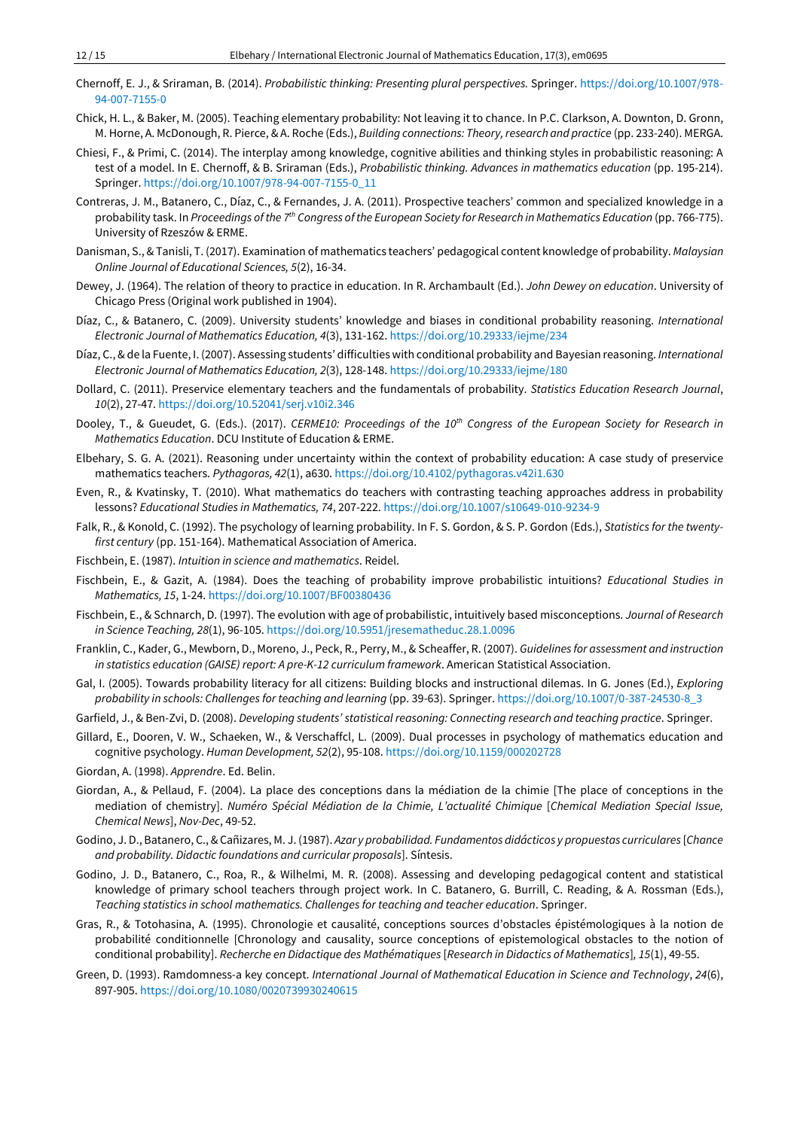- Chernoff, E. J., & Sriraman, B. (2014). *Probabilistic thinking: Presenting plural perspectives.* Springer. [https://doi.org/10.1007/978-](https://doi.org/10.1007/978-94-007-7155-0) [94-007-7155-0](https://doi.org/10.1007/978-94-007-7155-0)
- Chick, H. L., & Baker, M. (2005). Teaching elementary probability: Not leaving it to chance. In P.C. Clarkson, A. Downton, D. Gronn, M. Horne, A. McDonough, R. Pierce, & A. Roche (Eds.), *Building connections: Theory,research and practice* (pp. 233-240). MERGA.
- Chiesi, F., & Primi, C. (2014). The interplay among knowledge, cognitive abilities and thinking styles in probabilistic reasoning: A test of a model. In E. Chernoff, & B. Sriraman (Eds.), *Probabilistic thinking. Advances in mathematics education* (pp. 195-214). Springer. [https://doi.org/10.1007/978-94-007-7155-0\\_11](https://doi.org/10.1007/978-94-007-7155-0_11)
- Contreras, J. M., Batanero, C., Díaz, C., & Fernandes, J. A. (2011). Prospective teachers' common and specialized knowledge in a probability task. In *Proceedings ofthe 7 th Congress ofthe European Society for Research in Mathematics Education* (pp. 766-775). University of Rzeszów & ERME.
- Danisman, S., & Tanisli, T. (2017). Examination of mathematics teachers' pedagogical content knowledge of probability. *Malaysian Online Journal of Educational Sciences, 5*(2), 16-34.
- Dewey, J. (1964). The relation of theory to practice in education. In R. Archambault (Ed.). *John Dewey on education*. University of Chicago Press (Original work published in 1904).
- Díaz, C., & Batanero, C. (2009). University students' knowledge and biases in conditional probability reasoning. *International Electronic Journal of Mathematics Education, 4*(3), 131-162. <https://doi.org/10.29333/iejme/234>
- Díaz, C., & de la Fuente, I. (2007). Assessing students' difficulties with conditional probability and Bayesian reasoning. *International Electronic Journal of Mathematics Education, 2*(3), 128-148. <https://doi.org/10.29333/iejme/180>
- Dollard, C. (2011). Preservice elementary teachers and the fundamentals of probability. *Statistics Education Research Journal*, *10*(2), 27-47. <https://doi.org/10.52041/serj.v10i2.346>
- Dooley, T., & Gueudet, G. (Eds.). (2017). *CERME10: Proceedings of the 10th Congress of the European Society for Research in Mathematics Education*. DCU Institute of Education & ERME.
- Elbehary, S. G. A. (2021). Reasoning under uncertainty within the context of probability education: A case study of preservice mathematics teachers. *Pythagoras, 42*(1), a630. <https://doi.org/10.4102/pythagoras.v42i1.630>
- Even, R., & Kvatinsky, T. (2010). What mathematics do teachers with contrasting teaching approaches address in probability lessons? *Educational Studies in Mathematics, 74*, 207-222. <https://doi.org/10.1007/s10649-010-9234-9>
- Falk, R., & Konold, C. (1992). The psychology of learning probability. In F. S. Gordon, & S. P. Gordon (Eds.), *Statistics for the twentyfirst century* (pp. 151-164). Mathematical Association of America.
- Fischbein, E. (1987). *Intuition in science and mathematics*. Reidel.
- Fischbein, E., & Gazit, A. (1984). Does the teaching of probability improve probabilistic intuitions? *Educational Studies in Mathematics, 15*, 1-24. <https://doi.org/10.1007/BF00380436>
- Fischbein, E., & Schnarch, D. (1997). The evolution with age of probabilistic, intuitively based misconceptions. *Journal of Research in Science Teaching, 28*(1), 96-105. <https://doi.org/10.5951/jresematheduc.28.1.0096>
- Franklin, C., Kader, G., Mewborn, D., Moreno, J., Peck, R., Perry, M., & Scheaffer, R. (2007). *Guidelines for assessment and instruction in statistics education (GAISE) report: A pre-K-12 curriculum framework*. American Statistical Association.
- Gal, I. (2005). Towards probability literacy for all citizens: Building blocks and instructional dilemas. In G. Jones (Ed.), *Exploring probability in schools: Challenges for teaching and learning* (pp. 39-63). Springer. [https://doi.org/10.1007/0-387-24530-8\\_3](https://doi.org/10.1007/0-387-24530-8_3)
- Garfield, J., & Ben-Zvi, D. (2008). *Developing students' statistical reasoning: Connecting research and teaching practice*. Springer.
- Gillard, E., Dooren, V. W., Schaeken, W., & Verschaffcl, L. (2009). Dual processes in psychology of mathematics education and cognitive psychology. *Human Development, 52*(2), 95-108. <https://doi.org/10.1159/000202728>
- Giordan, A. (1998). *Apprendre*. Ed. Belin.
- Giordan, A., & Pellaud, F. (2004). La place des conceptions dans la médiation de la chimie [The place of conceptions in the mediation of chemistry]. *Numéro Spécial Médiation de la Chimie, L'actualité Chimique* [*Chemical Mediation Special Issue, Chemical News*], *Nov-Dec*, 49-52.
- Godino, J. D., Batanero, C., & Cañizares, M. J. (1987). *Azar y probabilidad. Fundamentos didácticos y propuestas curriculares* [*Chance and probability. Didactic foundations and curricular proposals*]. Síntesis.
- Godino, J. D., Batanero, C., Roa, R., & Wilhelmi, M. R. (2008). Assessing and developing pedagogical content and statistical knowledge of primary school teachers through project work. In C. Batanero, G. Burrill, C. Reading, & A. Rossman (Eds.), *Teaching statistics in school mathematics. Challenges for teaching and teacher education*. Springer.
- Gras, R., & Totohasina, A. (1995). Chronologie et causalité, conceptions sources d'obstacles épistémologiques à la notion de probabilité conditionnelle [Chronology and causality, source conceptions of epistemological obstacles to the notion of conditional probability]. *Recherche en Didactique des Mathématiques* [*Research in Didactics of Mathematics*]*, 15*(1), 49-55.
- Green, D. (1993). Ramdomness-a key concept. *International Journal of Mathematical Education in Science and Technology*, *24*(6), 897-905. <https://doi.org/10.1080/0020739930240615>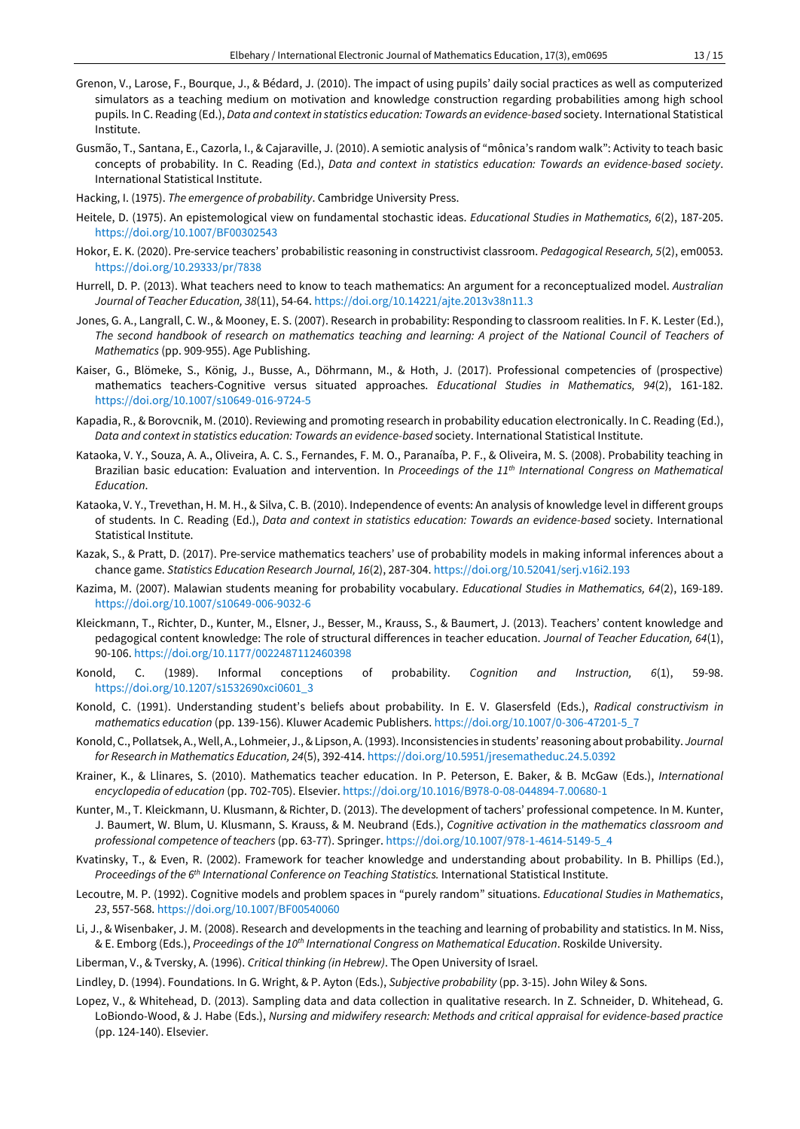- Grenon, V., Larose, F., Bourque, J., & Bédard, J. (2010). The impact of using pupils' daily social practices as well as computerized simulators as a teaching medium on motivation and knowledge construction regarding probabilities among high school pupils. In C. Reading (Ed.), *Data and context in statistics education: Towards an evidence-based* society. International Statistical Institute.
- Gusmão, T., Santana, E., Cazorla, I., & Cajaraville, J. (2010). A semiotic analysis of "mônica's random walk": Activity to teach basic concepts of probability. In C. Reading (Ed.), *Data and context in statistics education: Towards an evidence-based society*. International Statistical Institute.
- Hacking, I. (1975). *The emergence of probability*. Cambridge University Press.
- Heitele, D. (1975). An epistemological view on fundamental stochastic ideas. *Educational Studies in Mathematics, 6*(2), 187-205. <https://doi.org/10.1007/BF00302543>
- Hokor, E. K. (2020). Pre-service teachers' probabilistic reasoning in constructivist classroom. *Pedagogical Research, 5*(2), em0053. <https://doi.org/10.29333/pr/7838>
- Hurrell, D. P. (2013). What teachers need to know to teach mathematics: An argument for a reconceptualized model. *Australian Journal of Teacher Education, 38*(11), 54-64. <https://doi.org/10.14221/ajte.2013v38n11.3>
- Jones, G. A., Langrall, C. W., & Mooney, E. S. (2007). Research in probability: Responding to classroom realities. In F. K. Lester (Ed.), The second handbook of research on mathematics teaching and learning: A project of the National Council of Teachers of *Mathematics* (pp. 909-955). Age Publishing.
- Kaiser, G., Blömeke, S., König, J., Busse, A., Döhrmann, M., & Hoth, J. (2017). Professional competencies of (prospective) mathematics teachers-Cognitive versus situated approaches. *Educational Studies in Mathematics, 94*(2), 161-182. <https://doi.org/10.1007/s10649-016-9724-5>
- Kapadia, R., & Borovcnik, M. (2010). Reviewing and promoting research in probability education electronically . In C. Reading (Ed.), *Data and context in statistics education: Towards an evidence-based* society. International Statistical Institute.
- Kataoka, V. Y., Souza, A. A., Oliveira, A. C. S., Fernandes, F. M. O., Paranaíba, P. F., & Oliveira, M. S. (2008). Probability teaching in Brazilian basic education: Evaluation and intervention. In *Proceedings of the 11th International Congress on Mathematical Education*.
- Kataoka, V. Y., Trevethan, H. M. H., & Silva, C. B. (2010). Independence of events: An analysis of knowledge level in different groups of students. In C. Reading (Ed.), *Data and context in statistics education: Towards an evidence-based* society. International Statistical Institute.
- Kazak, S., & Pratt, D. (2017). Pre-service mathematics teachers' use of probability models in making informal inferences about a chance game. *Statistics Education Research Journal, 16*(2), 287-304. <https://doi.org/10.52041/serj.v16i2.193>
- Kazima, M. (2007). Malawian students meaning for probability vocabulary. *Educational Studies in Mathematics, 64*(2), 169-189. <https://doi.org/10.1007/s10649-006-9032-6>
- Kleickmann, T., Richter, D., Kunter, M., Elsner, J., Besser, M., Krauss, S., & Baumert, J. (2013). Teachers' content knowledge and pedagogical content knowledge: The role of structural differences in teacher education. *Journal of Teacher Education, 64*(1), 90-106. <https://doi.org/10.1177/0022487112460398>
- Konold, C. (1989). Informal conceptions of probability. *Cognition and Instruction, 6*(1), 59-98. [https://doi.org/10.1207/s1532690xci0601\\_3](https://doi.org/10.1207/s1532690xci0601_3)
- Konold, C. (1991). Understanding student's beliefs about probability. In E. V. Glasersfeld (Eds.), *Radical constructivism in mathematics education* (pp. 139-156). Kluwer Academic Publishers. [https://doi.org/10.1007/0-306-47201-5\\_7](https://doi.org/10.1007/0-306-47201-5_7)
- Konold, C., Pollatsek, A.,Well, A., Lohmeier, J., &Lipson, A.(1993). Inconsistencies in students' reasoning about probability. *Journal for Research in Mathematics Education, 24*(5), 392-414. <https://doi.org/10.5951/jresematheduc.24.5.0392>
- Krainer, K., & Llinares, S. (2010). Mathematics teacher education. In P. Peterson, E. Baker, & B. McGaw (Eds.), *International encyclopedia of education* (pp. 702-705). Elsevier. <https://doi.org/10.1016/B978-0-08-044894-7.00680-1>
- Kunter, M., T. Kleickmann, U. Klusmann, & Richter, D. (2013). The development of tachers' professional competence. In M. Kunter, J. Baumert, W. Blum, U. Klusmann, S. Krauss, & M. Neubrand (Eds.), *Cognitive activation in the mathematics classroom and professional competence of teachers* (pp. 63-77). Springer. [https://doi.org/10.1007/978-1-4614-5149-5\\_4](https://doi.org/10.1007/978-1-4614-5149-5_4)
- Kvatinsky, T., & Even, R. (2002). Framework for teacher knowledge and understanding about probability. In B. Phillips (Ed.), *Proceedings of the 6 th International Conference on Teaching Statistics.* International Statistical Institute.
- Lecoutre, M. P. (1992). Cognitive models and problem spaces in "purely random" situations. *Educational Studies in Mathematics*, *23*, 557-568. <https://doi.org/10.1007/BF00540060>
- Li, J., & Wisenbaker, J. M. (2008). Research and developments in the teaching and learning of probability and statistics. In M. Niss, & E. Emborg (Eds.), *Proceedings of the 10th International Congress on Mathematical Education*. Roskilde University.
- Liberman, V., & Tversky, A. (1996). *Critical thinking (in Hebrew)*. The Open University of Israel.
- Lindley, D. (1994). Foundations. In G. Wright, & P. Ayton (Eds.), *Subjective probability* (pp. 3-15). John Wiley & Sons.
- Lopez, V., & Whitehead, D. (2013). Sampling data and data collection in qualitative research. In Z. Schneider, D. Whitehead, G. LoBiondo-Wood, & J. Habe (Eds.), *Nursing and midwifery research: Methods and critical appraisal for evidence-based practice* (pp. 124-140). Elsevier.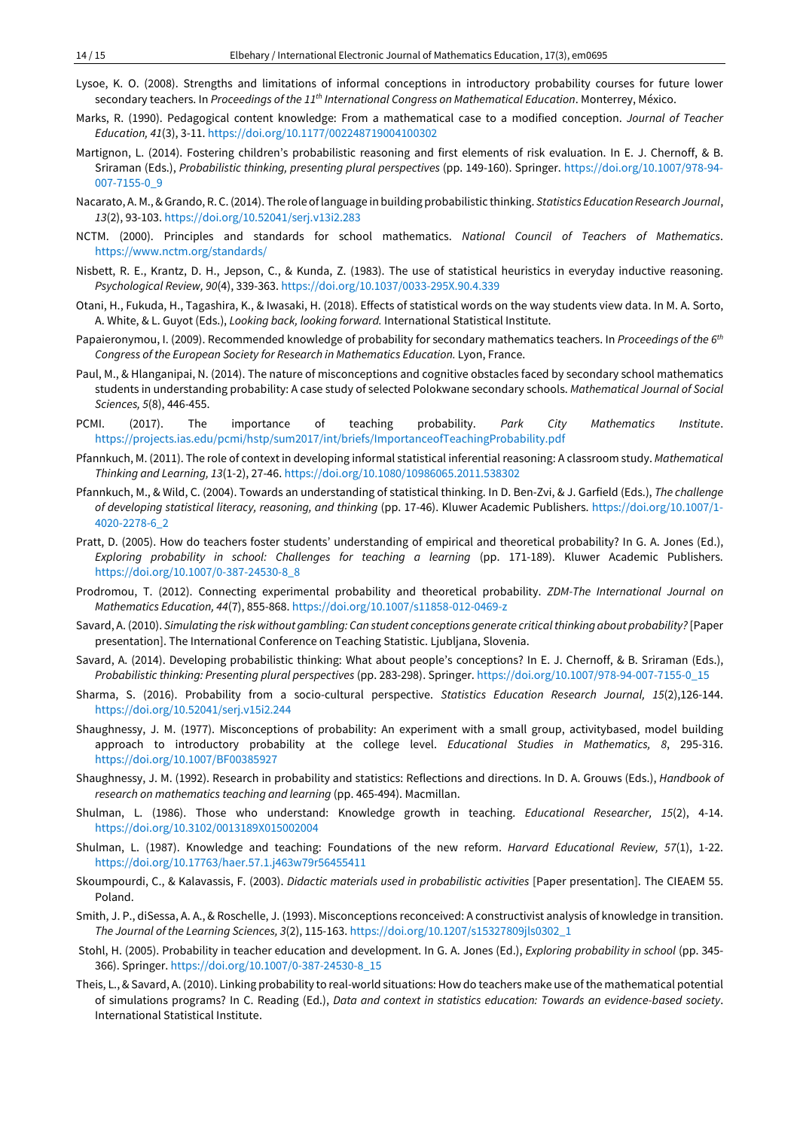- Lysoe, K. O. (2008). Strengths and limitations of informal conceptions in introductory probability courses for future lower secondary teachers. In *Proceedings of the 11th International Congress on Mathematical Education*. Monterrey, México.
- Marks, R. (1990). Pedagogical content knowledge: From a mathematical case to a modified conception. *Journal of Teacher Education, 41*(3), 3-11. <https://doi.org/10.1177/002248719004100302>
- Martignon, L. (2014). Fostering children's probabilistic reasoning and first elements of risk evaluation. In E. J. Chernoff, & B. Sriraman (Eds.), *Probabilistic thinking, presenting plural perspectives* (pp. 149-160). Springer. [https://doi.org/10.1007/978-94-](https://doi.org/10.1007/978-94-007-7155-0_9) [007-7155-0\\_9](https://doi.org/10.1007/978-94-007-7155-0_9)
- Nacarato, A. M., &Grando, R. C.(2014). The role of language in building probabilistic thinking. *Statistics EducationResearch Journal*, *13*(2), 93-103. <https://doi.org/10.52041/serj.v13i2.283>
- NCTM. (2000). Principles and standards for school mathematics. *National Council of Teachers of Mathematics*. <https://www.nctm.org/standards/>
- Nisbett, R. E., Krantz, D. H., Jepson, C., & Kunda, Z. (1983). The use of statistical heuristics in everyday inductive reasoning. *Psychological Review, 90*(4), 339-363. <https://doi.org/10.1037/0033-295X.90.4.339>
- Otani, H., Fukuda, H., Tagashira, K., & Iwasaki, H. (2018). Effects of statistical words on the way students view data. In M. A. Sorto, A. White, & L. Guyot (Eds.), *Looking back, looking forward.* International Statistical Institute.
- Papaieronymou, I. (2009). Recommended knowledge of probability for secondary mathematics teachers. In *Proceedings of the 6 th Congress of the European Society for Research in Mathematics Education.* Lyon, France.
- Paul, M., & Hlanganipai, N. (2014). The nature of misconceptions and cognitive obstacles faced by secondary school mathematics students in understanding probability: A case study of selected Polokwane secondary schools. *Mathematical Journal of Social Sciences, 5*(8), 446-455.
- PCMI. (2017). The importance of teaching probability. *Park City Mathematics Institute*. <https://projects.ias.edu/pcmi/hstp/sum2017/int/briefs/ImportanceofTeachingProbability.pdf>
- Pfannkuch, M. (2011). The role of context in developing informal statistical inferential reasoning: A classroom study. *Mathematical Thinking and Learning, 13*(1-2), 27-46. <https://doi.org/10.1080/10986065.2011.538302>
- Pfannkuch, M., & Wild, C. (2004). Towards an understanding of statistical thinking. In D. Ben-Zvi, & J. Garfield (Eds.), *The challenge of developing statistical literacy, reasoning, and thinking* (pp. 17-46). Kluwer Academic Publishers. [https://doi.org/10.1007/1-](https://doi.org/10.1007/1-4020-2278-6_2) [4020-2278-6\\_2](https://doi.org/10.1007/1-4020-2278-6_2)
- Pratt, D. (2005). How do teachers foster students' understanding of empirical and theoretical probability? In G. A. Jones (Ed.), *Exploring probability in school: Challenges for teaching a learning* (pp. 171-189). Kluwer Academic Publishers. [https://doi.org/10.1007/0-387-24530-8\\_8](https://doi.org/10.1007/0-387-24530-8_8)
- Prodromou, T. (2012). Connecting experimental probability and theoretical probability. *ZDM-The International Journal on Mathematics Education, 44*(7), 855-868. <https://doi.org/10.1007/s11858-012-0469-z>
- Savard, A. (2010). *Simulating the risk without gambling: Can student conceptions generate criticalthinking about probability?* [Paper presentation]. The International Conference on Teaching Statistic. Ljubljana, Slovenia.
- Savard, A. (2014). Developing probabilistic thinking: What about people's conceptions? In E. J. Chernoff, & B. Sriraman (Eds.), *Probabilistic thinking: Presenting plural perspectives* (pp. 283-298). Springer. [https://doi.org/10.1007/978-94-007-7155-0\\_15](https://doi.org/10.1007/978-94-007-7155-0_15)
- Sharma, S. (2016). Probability from a socio-cultural perspective. *Statistics Education Research Journal, 15*(2),126-144. <https://doi.org/10.52041/serj.v15i2.244>
- Shaughnessy, J. M. (1977). Misconceptions of probability: An experiment with a small group, activitybased, model building approach to introductory probability at the college level. *Educational Studies in Mathematics, 8*, 295-316. <https://doi.org/10.1007/BF00385927>
- Shaughnessy, J. M. (1992). Research in probability and statistics: Reflections and directions. In D. A. Grouws (Eds.), *Handbook of research on mathematics teaching and learning* (pp. 465-494). Macmillan.
- Shulman, L. (1986). Those who understand: Knowledge growth in teaching. *Educational Researcher, 15*(2), 4-14. <https://doi.org/10.3102/0013189X015002004>
- Shulman, L. (1987). Knowledge and teaching: Foundations of the new reform. *Harvard Educational Review, 57*(1), 1-22. <https://doi.org/10.17763/haer.57.1.j463w79r56455411>
- Skoumpourdi, C., & Kalavassis, F. (2003). *Didactic materials used in probabilistic activities* [Paper presentation]. The CIEAEM 55. Poland.
- Smith, J. P., diSessa, A. A., & Roschelle, J. (1993). Misconceptions reconceived: A constructivist analysis of knowledge in transition. *The Journal of the Learning Sciences, 3*(2), 115-163. [https://doi.org/10.1207/s15327809jls0302\\_1](https://doi.org/10.1207/s15327809jls0302_1)
- Stohl, H. (2005). Probability in teacher education and development. In G. A. Jones (Ed.), *Exploring probability in school* (pp. 345- 366). Springer. [https://doi.org/10.1007/0-387-24530-8\\_15](https://doi.org/10.1007/0-387-24530-8_15)
- Theis, L., & Savard, A. (2010). Linking probability to real-world situations: How do teachers make use ofthe mathematical potential of simulations programs? In C. Reading (Ed.), *Data and context in statistics education: Towards an evidence-based society*. International Statistical Institute.